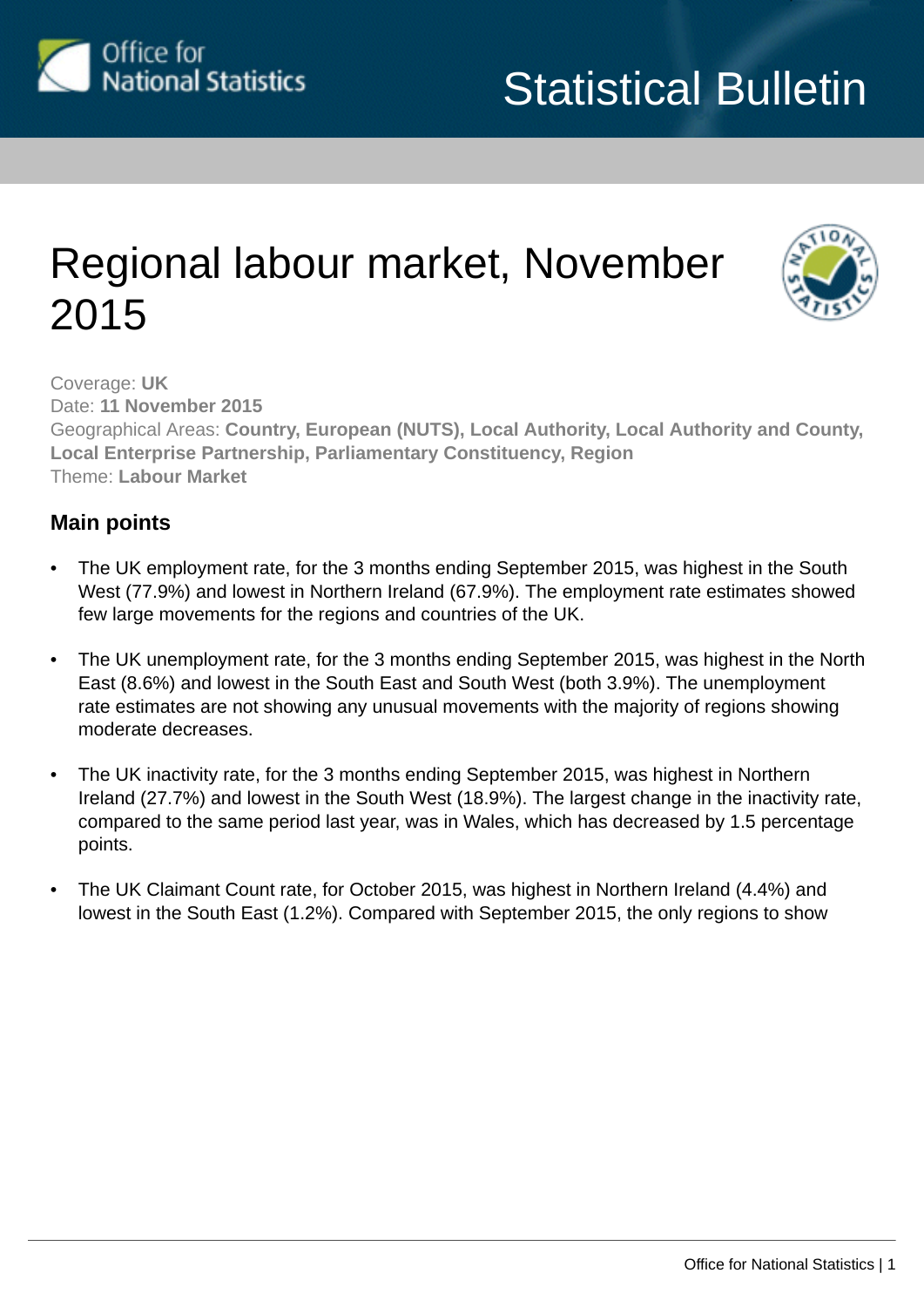

# Regional labour market, November 2015



Coverage: **UK** Date: **11 November 2015** Geographical Areas: **Country, European (NUTS), Local Authority, Local Authority and County, Local Enterprise Partnership, Parliamentary Constituency, Region** Theme: **Labour Market**

# **Main points**

- The UK employment rate, for the 3 months ending September 2015, was highest in the South West (77.9%) and lowest in Northern Ireland (67.9%). The employment rate estimates showed few large movements for the regions and countries of the UK.
- The UK unemployment rate, for the 3 months ending September 2015, was highest in the North East (8.6%) and lowest in the South East and South West (both 3.9%). The unemployment rate estimates are not showing any unusual movements with the majority of regions showing moderate decreases.
- The UK inactivity rate, for the 3 months ending September 2015, was highest in Northern Ireland (27.7%) and lowest in the South West (18.9%). The largest change in the inactivity rate, compared to the same period last year, was in Wales, which has decreased by 1.5 percentage points.
- The UK Claimant Count rate, for October 2015, was highest in Northern Ireland (4.4%) and lowest in the South East (1.2%). Compared with September 2015, the only regions to show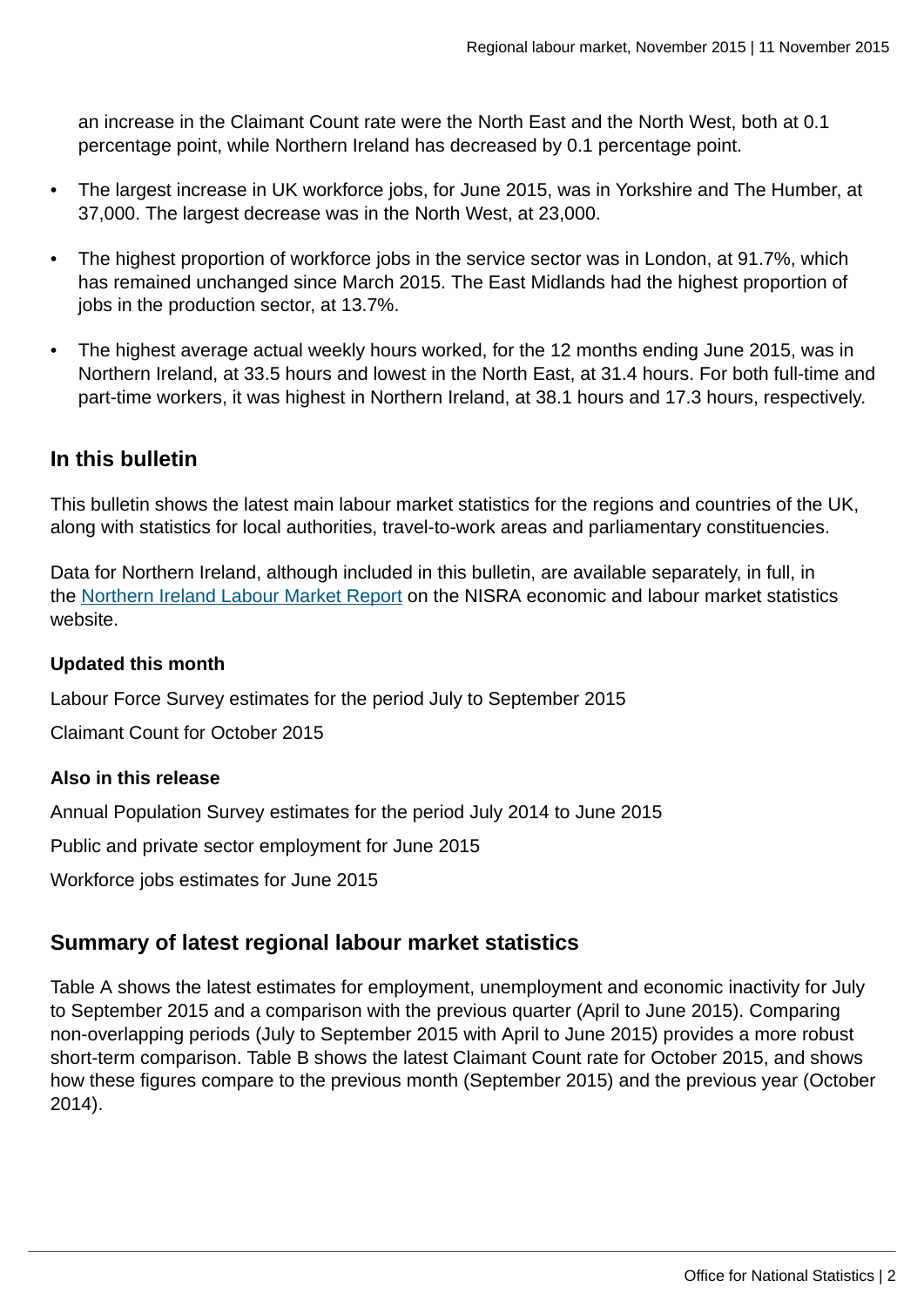an increase in the Claimant Count rate were the North East and the North West, both at 0.1 percentage point, while Northern Ireland has decreased by 0.1 percentage point.

- The largest increase in UK workforce jobs, for June 2015, was in Yorkshire and The Humber, at 37,000. The largest decrease was in the North West, at 23,000.
- The highest proportion of workforce jobs in the service sector was in London, at 91.7%, which has remained unchanged since March 2015. The East Midlands had the highest proportion of jobs in the production sector, at 13.7%.
- The highest average actual weekly hours worked, for the 12 months ending June 2015, was in Northern Ireland, at 33.5 hours and lowest in the North East, at 31.4 hours. For both full-time and part-time workers, it was highest in Northern Ireland, at 38.1 hours and 17.3 hours, respectively.

# **In this bulletin**

This bulletin shows the latest main labour market statistics for the regions and countries of the UK, along with statistics for local authorities, travel-to-work areas and parliamentary constituencies.

Data for Northern Ireland, although included in this bulletin, are available separately, in full, in the [Northern Ireland Labour Market Report](http://www.detini.gov.uk/index/what-we-do/deti-stats-index/labour_market_statistics.htm) on the NISRA economic and labour market statistics website.

## **Updated this month**

Labour Force Survey estimates for the period July to September 2015

Claimant Count for October 2015

## **Also in this release**

Annual Population Survey estimates for the period July 2014 to June 2015

Public and private sector employment for June 2015

Workforce jobs estimates for June 2015

# **Summary of latest regional labour market statistics**

Table A shows the latest estimates for employment, unemployment and economic inactivity for July to September 2015 and a comparison with the previous quarter (April to June 2015). Comparing non-overlapping periods (July to September 2015 with April to June 2015) provides a more robust short-term comparison. Table B shows the latest Claimant Count rate for October 2015, and shows how these figures compare to the previous month (September 2015) and the previous year (October 2014).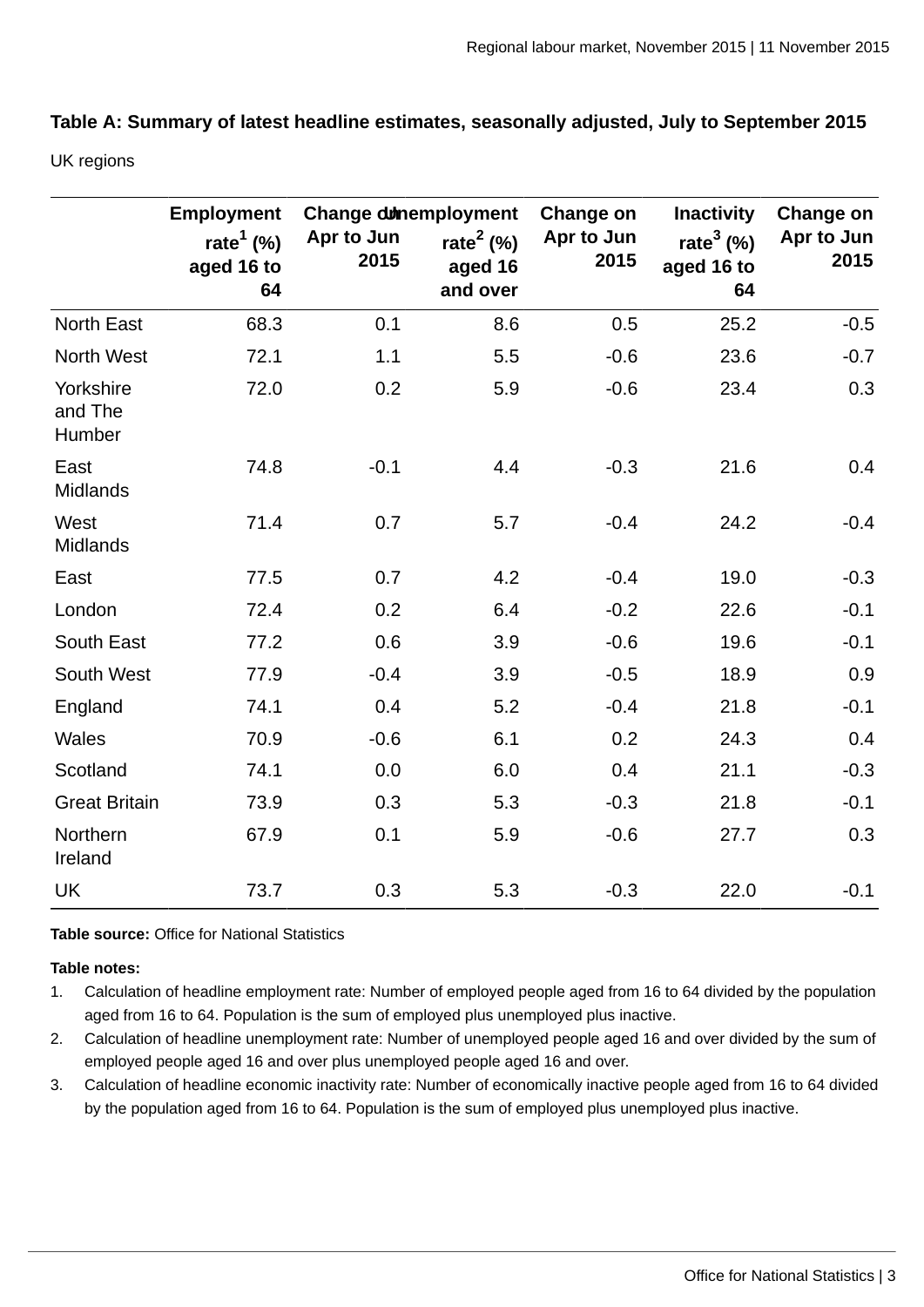| Table A: Summary of latest headline estimates, seasonally adjusted, July to September 2015 |  |
|--------------------------------------------------------------------------------------------|--|
|                                                                                            |  |

UK regions

|                                | Employment                       | Change dunemployment |                                     | Change on          | <b>Inactivity</b>               | Change on          |
|--------------------------------|----------------------------------|----------------------|-------------------------------------|--------------------|---------------------------------|--------------------|
|                                | rate $1$ (%)<br>aged 16 to<br>64 | Apr to Jun<br>2015   | rate $2$ (%)<br>aged 16<br>and over | Apr to Jun<br>2015 | rate $3(%)$<br>aged 16 to<br>64 | Apr to Jun<br>2015 |
| North East                     | 68.3                             | 0.1                  | 8.6                                 | 0.5                | 25.2                            | $-0.5$             |
| North West                     | 72.1                             | 1.1                  | 5.5                                 | $-0.6$             | 23.6                            | $-0.7$             |
| Yorkshire<br>and The<br>Humber | 72.0                             | 0.2                  | 5.9                                 | $-0.6$             | 23.4                            | 0.3                |
| East<br><b>Midlands</b>        | 74.8                             | $-0.1$               | 4.4                                 | $-0.3$             | 21.6                            | 0.4                |
| West<br><b>Midlands</b>        | 71.4                             | 0.7                  | 5.7                                 | $-0.4$             | 24.2                            | $-0.4$             |
| East                           | 77.5                             | 0.7                  | 4.2                                 | $-0.4$             | 19.0                            | $-0.3$             |
| London                         | 72.4                             | 0.2                  | 6.4                                 | $-0.2$             | 22.6                            | $-0.1$             |
| South East                     | 77.2                             | 0.6                  | 3.9                                 | $-0.6$             | 19.6                            | $-0.1$             |
| South West                     | 77.9                             | $-0.4$               | 3.9                                 | $-0.5$             | 18.9                            | 0.9                |
| England                        | 74.1                             | 0.4                  | 5.2                                 | $-0.4$             | 21.8                            | $-0.1$             |
| Wales                          | 70.9                             | $-0.6$               | 6.1                                 | 0.2                | 24.3                            | 0.4                |
| Scotland                       | 74.1                             | 0.0                  | 6.0                                 | 0.4                | 21.1                            | $-0.3$             |
| <b>Great Britain</b>           | 73.9                             | 0.3                  | 5.3                                 | $-0.3$             | 21.8                            | $-0.1$             |
| Northern<br>Ireland            | 67.9                             | 0.1                  | 5.9                                 | $-0.6$             | 27.7                            | 0.3                |
| <b>UK</b>                      | 73.7                             | 0.3                  | 5.3                                 | $-0.3$             | 22.0                            | $-0.1$             |

**Table source:** Office for National Statistics

#### **Table notes:**

- 1. Calculation of headline employment rate: Number of employed people aged from 16 to 64 divided by the population aged from 16 to 64. Population is the sum of employed plus unemployed plus inactive.
- 2. Calculation of headline unemployment rate: Number of unemployed people aged 16 and over divided by the sum of employed people aged 16 and over plus unemployed people aged 16 and over.
- 3. Calculation of headline economic inactivity rate: Number of economically inactive people aged from 16 to 64 divided by the population aged from 16 to 64. Population is the sum of employed plus unemployed plus inactive.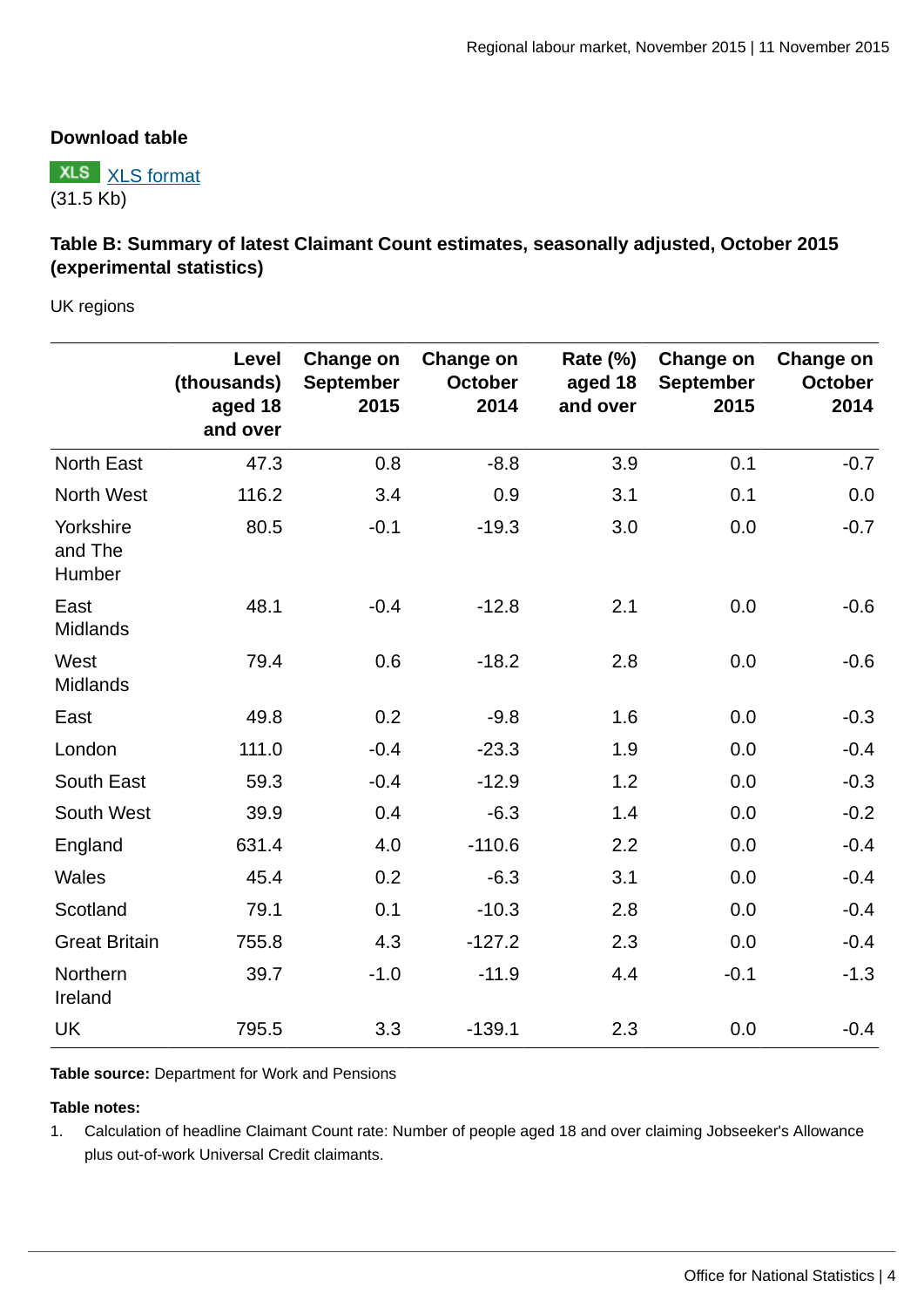#### **Download table**



#### **Table B: Summary of latest Claimant Count estimates, seasonally adjusted, October 2015 (experimental statistics)**

UK regions

|                                | Level<br>(thousands)<br>aged 18<br>and over | Change on<br><b>September</b><br>2015 | Change on<br><b>October</b><br>2014 | <b>Rate (%)</b><br>aged 18<br>and over | Change on<br><b>September</b><br>2015 | Change on<br><b>October</b><br>2014 |
|--------------------------------|---------------------------------------------|---------------------------------------|-------------------------------------|----------------------------------------|---------------------------------------|-------------------------------------|
| <b>North East</b>              | 47.3                                        | 0.8                                   | $-8.8$                              | 3.9                                    | 0.1                                   | $-0.7$                              |
| North West                     | 116.2                                       | 3.4                                   | 0.9                                 | 3.1                                    | 0.1                                   | 0.0                                 |
| Yorkshire<br>and The<br>Humber | 80.5                                        | $-0.1$                                | $-19.3$                             | 3.0                                    | 0.0                                   | $-0.7$                              |
| East<br>Midlands               | 48.1                                        | $-0.4$                                | $-12.8$                             | 2.1                                    | 0.0                                   | $-0.6$                              |
| West<br><b>Midlands</b>        | 79.4                                        | 0.6                                   | $-18.2$                             | 2.8                                    | 0.0                                   | $-0.6$                              |
| East                           | 49.8                                        | 0.2                                   | $-9.8$                              | 1.6                                    | 0.0                                   | $-0.3$                              |
| London                         | 111.0                                       | $-0.4$                                | $-23.3$                             | 1.9                                    | 0.0                                   | $-0.4$                              |
| <b>South East</b>              | 59.3                                        | $-0.4$                                | $-12.9$                             | 1.2                                    | 0.0                                   | $-0.3$                              |
| South West                     | 39.9                                        | 0.4                                   | $-6.3$                              | 1.4                                    | 0.0                                   | $-0.2$                              |
| England                        | 631.4                                       | 4.0                                   | $-110.6$                            | 2.2                                    | 0.0                                   | $-0.4$                              |
| <b>Wales</b>                   | 45.4                                        | 0.2                                   | $-6.3$                              | 3.1                                    | 0.0                                   | $-0.4$                              |
| Scotland                       | 79.1                                        | 0.1                                   | $-10.3$                             | 2.8                                    | 0.0                                   | $-0.4$                              |
| <b>Great Britain</b>           | 755.8                                       | 4.3                                   | $-127.2$                            | 2.3                                    | 0.0                                   | $-0.4$                              |
| Northern<br>Ireland            | 39.7                                        | $-1.0$                                | $-11.9$                             | 4.4                                    | $-0.1$                                | $-1.3$                              |
| <b>UK</b>                      | 795.5                                       | 3.3                                   | $-139.1$                            | 2.3                                    | 0.0                                   | $-0.4$                              |

**Table source:** Department for Work and Pensions

#### **Table notes:**

1. Calculation of headline Claimant Count rate: Number of people aged 18 and over claiming Jobseeker's Allowance plus out-of-work Universal Credit claimants.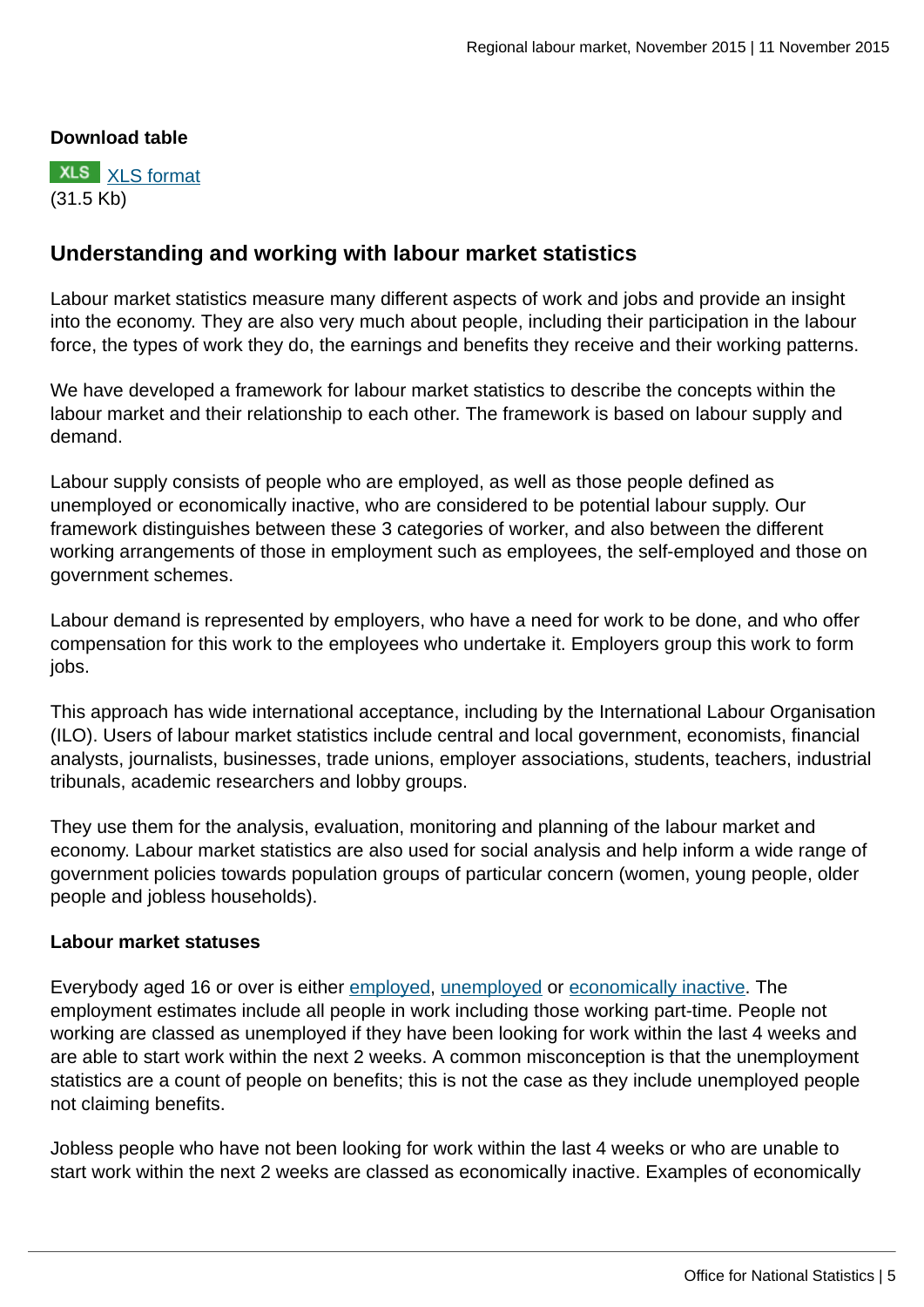#### **Download table**



# **Understanding and working with labour market statistics**

Labour market statistics measure many different aspects of work and jobs and provide an insight into the economy. They are also very much about people, including their participation in the labour force, the types of work they do, the earnings and benefits they receive and their working patterns.

We have developed a framework for labour market statistics to describe the concepts within the labour market and their relationship to each other. The framework is based on labour supply and demand.

Labour supply consists of people who are employed, as well as those people defined as unemployed or economically inactive, who are considered to be potential labour supply. Our framework distinguishes between these 3 categories of worker, and also between the different working arrangements of those in employment such as employees, the self-employed and those on government schemes.

Labour demand is represented by employers, who have a need for work to be done, and who offer compensation for this work to the employees who undertake it. Employers group this work to form jobs.

This approach has wide international acceptance, including by the International Labour Organisation (ILO). Users of labour market statistics include central and local government, economists, financial analysts, journalists, businesses, trade unions, employer associations, students, teachers, industrial tribunals, academic researchers and lobby groups.

They use them for the analysis, evaluation, monitoring and planning of the labour market and economy. Labour market statistics are also used for social analysis and help inform a wide range of government policies towards population groups of particular concern (women, young people, older people and jobless households).

#### **Labour market statuses**

Everybody aged 16 or over is either [employed](http://www.ons.gov.uk:80/ons/rel/lms/labour-market-guidance/guide-to-labour-market-statistics/guide-to-employment.html), [unemployed](http://www.ons.gov.uk:80/ons/rel/lms/labour-market-guidance/guide-to-labour-market-statistics/guide-to-unemployment.html) or [economically inactive.](http://www.ons.gov.uk:80/ons/rel/lms/labour-market-guidance/guide-to-labour-market-statistics/guide-to-economic-inactivity.html) The employment estimates include all people in work including those working part-time. People not working are classed as unemployed if they have been looking for work within the last 4 weeks and are able to start work within the next 2 weeks. A common misconception is that the unemployment statistics are a count of people on benefits; this is not the case as they include unemployed people not claiming benefits.

Jobless people who have not been looking for work within the last 4 weeks or who are unable to start work within the next 2 weeks are classed as economically inactive. Examples of economically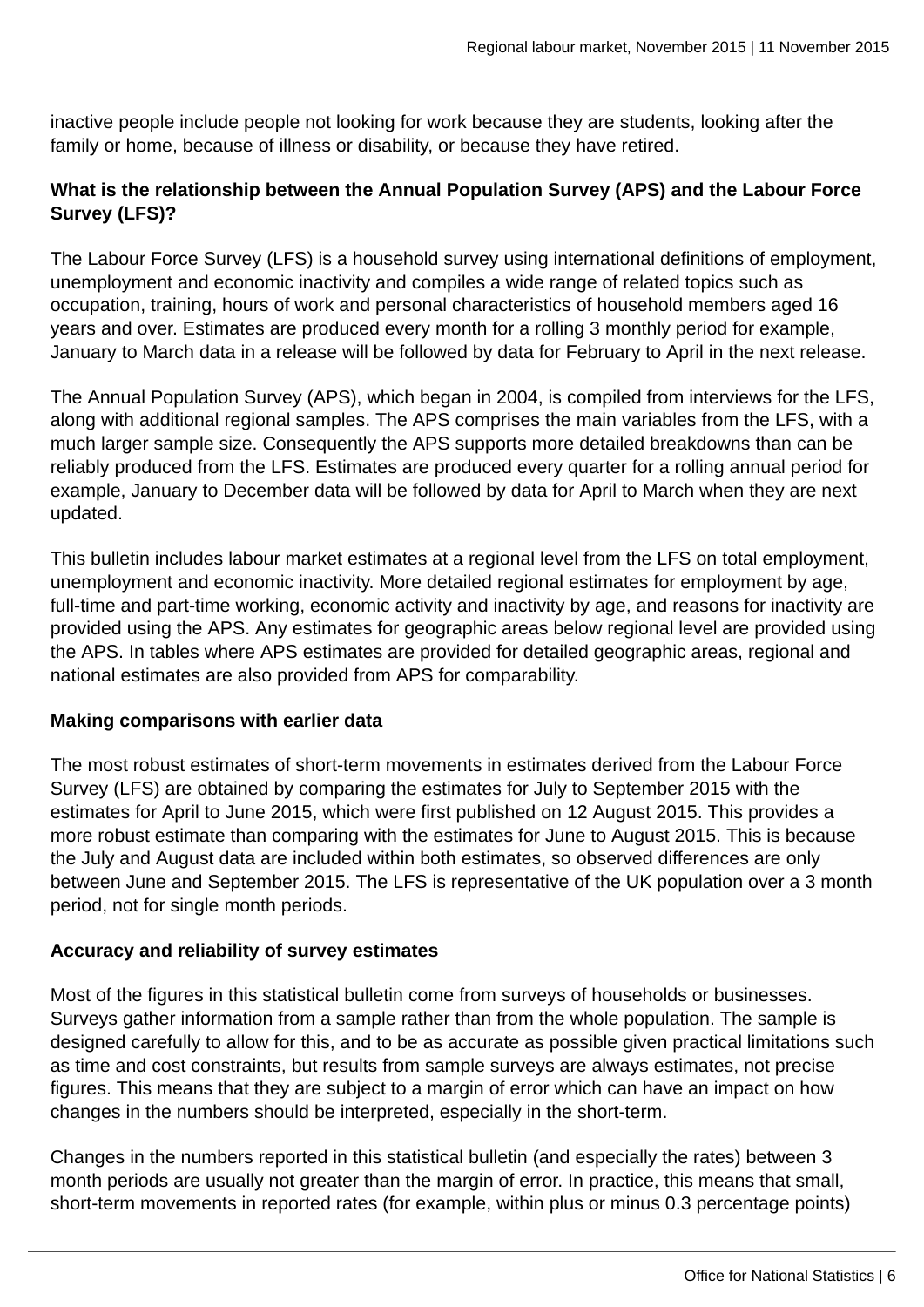inactive people include people not looking for work because they are students, looking after the family or home, because of illness or disability, or because they have retired.

## **What is the relationship between the Annual Population Survey (APS) and the Labour Force Survey (LFS)?**

The Labour Force Survey (LFS) is a household survey using international definitions of employment, unemployment and economic inactivity and compiles a wide range of related topics such as occupation, training, hours of work and personal characteristics of household members aged 16 years and over. Estimates are produced every month for a rolling 3 monthly period for example, January to March data in a release will be followed by data for February to April in the next release.

The Annual Population Survey (APS), which began in 2004, is compiled from interviews for the LFS, along with additional regional samples. The APS comprises the main variables from the LFS, with a much larger sample size. Consequently the APS supports more detailed breakdowns than can be reliably produced from the LFS. Estimates are produced every quarter for a rolling annual period for example, January to December data will be followed by data for April to March when they are next updated.

This bulletin includes labour market estimates at a regional level from the LFS on total employment, unemployment and economic inactivity. More detailed regional estimates for employment by age, full-time and part-time working, economic activity and inactivity by age, and reasons for inactivity are provided using the APS. Any estimates for geographic areas below regional level are provided using the APS. In tables where APS estimates are provided for detailed geographic areas, regional and national estimates are also provided from APS for comparability.

#### **Making comparisons with earlier data**

The most robust estimates of short-term movements in estimates derived from the Labour Force Survey (LFS) are obtained by comparing the estimates for July to September 2015 with the estimates for April to June 2015, which were first published on 12 August 2015. This provides a more robust estimate than comparing with the estimates for June to August 2015. This is because the July and August data are included within both estimates, so observed differences are only between June and September 2015. The LFS is representative of the UK population over a 3 month period, not for single month periods.

## **Accuracy and reliability of survey estimates**

Most of the figures in this statistical bulletin come from surveys of households or businesses. Surveys gather information from a sample rather than from the whole population. The sample is designed carefully to allow for this, and to be as accurate as possible given practical limitations such as time and cost constraints, but results from sample surveys are always estimates, not precise figures. This means that they are subject to a margin of error which can have an impact on how changes in the numbers should be interpreted, especially in the short-term.

Changes in the numbers reported in this statistical bulletin (and especially the rates) between 3 month periods are usually not greater than the margin of error. In practice, this means that small, short-term movements in reported rates (for example, within plus or minus 0.3 percentage points)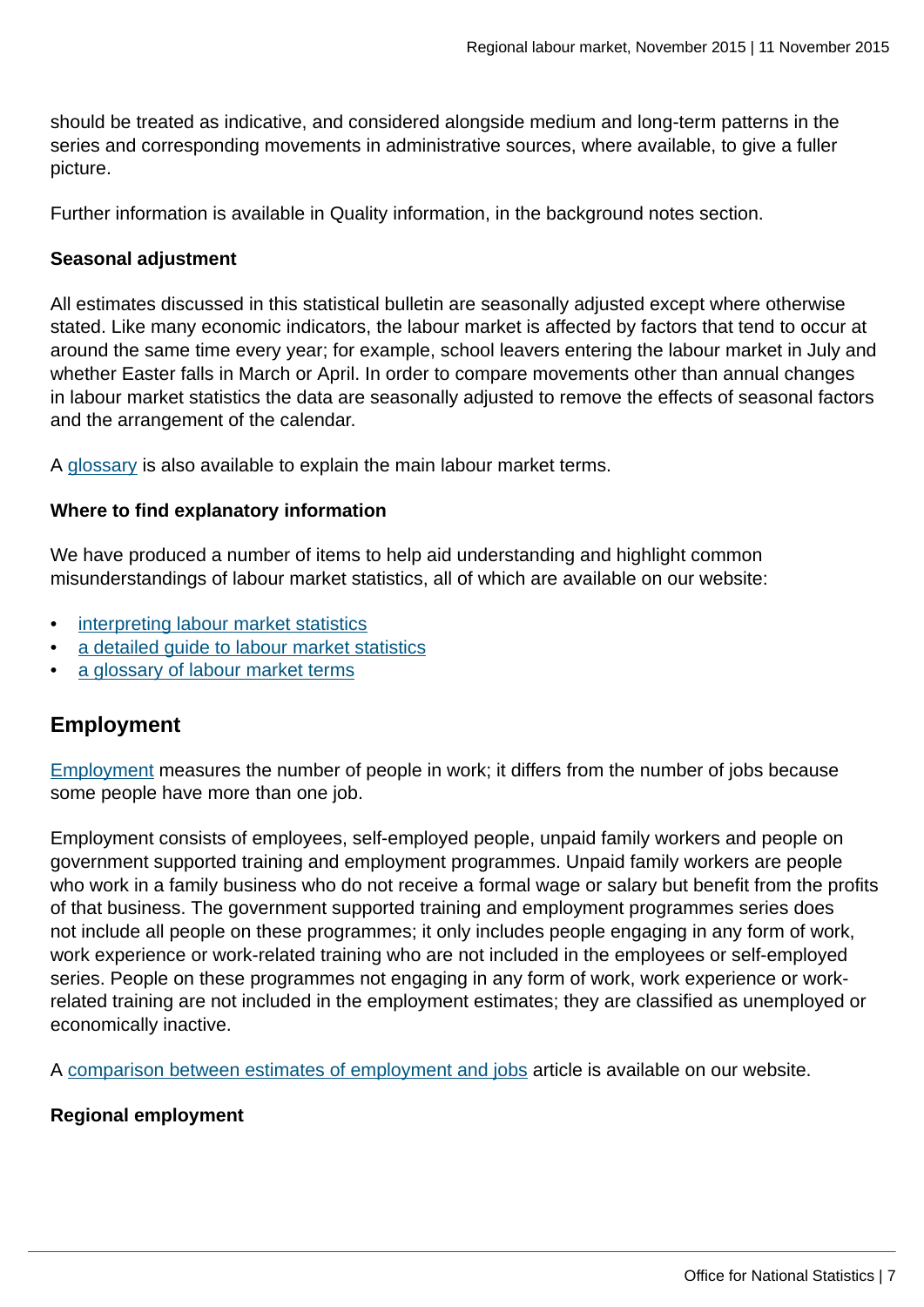should be treated as indicative, and considered alongside medium and long-term patterns in the series and corresponding movements in administrative sources, where available, to give a fuller picture.

Further information is available in Quality information, in the background notes section.

#### **Seasonal adjustment**

All estimates discussed in this statistical bulletin are seasonally adjusted except where otherwise stated. Like many economic indicators, the labour market is affected by factors that tend to occur at around the same time every year; for example, school leavers entering the labour market in July and whether Easter falls in March or April. In order to compare movements other than annual changes in labour market statistics the data are seasonally adjusted to remove the effects of seasonal factors and the arrangement of the calendar.

A [glossary](http://www.ons.gov.uk:80/ons/guide-method/method-quality/specific/labour-market/glossary-of-labour-market-terms/index.html) is also available to explain the main labour market terms.

#### **Where to find explanatory information**

We have produced a number of items to help aid understanding and highlight common misunderstandings of labour market statistics, all of which are available on our website:

- [interpreting labour market statistics](http://www.ons.gov.uk:80/ons/rel/lms/labour-market-guidance/interpreting-labour-market-statistics/index.html)
- [a detailed guide to labour market statistics](http://www.ons.gov.uk:80/ons/rel/lms/labour-market-guidance/guide-to-labour-market-statistics/index.html)
- [a glossary of labour market terms](http://www.ons.gov.uk:80/ons/guide-method/method-quality/specific/labour-market/glossary-of-labour-market-terms/index.html)

## **Employment**

[Employment](http://www.ons.gov.uk:80/ons/rel/lms/labour-market-guidance/guide-to-labour-market-statistics/guide-to-employment.html) measures the number of people in work; it differs from the number of jobs because some people have more than one job.

Employment consists of employees, self-employed people, unpaid family workers and people on government supported training and employment programmes. Unpaid family workers are people who work in a family business who do not receive a formal wage or salary but benefit from the profits of that business. The government supported training and employment programmes series does not include all people on these programmes; it only includes people engaging in any form of work, work experience or work-related training who are not included in the employees or self-employed series. People on these programmes not engaging in any form of work, work experience or workrelated training are not included in the employment estimates; they are classified as unemployed or economically inactive.

A [comparison between estimates of employment and jobs](http://www.ons.gov.uk:80/ons/rel/lms/labour-market-statistics/september-2015/reconciliation-of-estimates-of-jobs--august-2015.html) article is available on our website.

#### **Regional employment**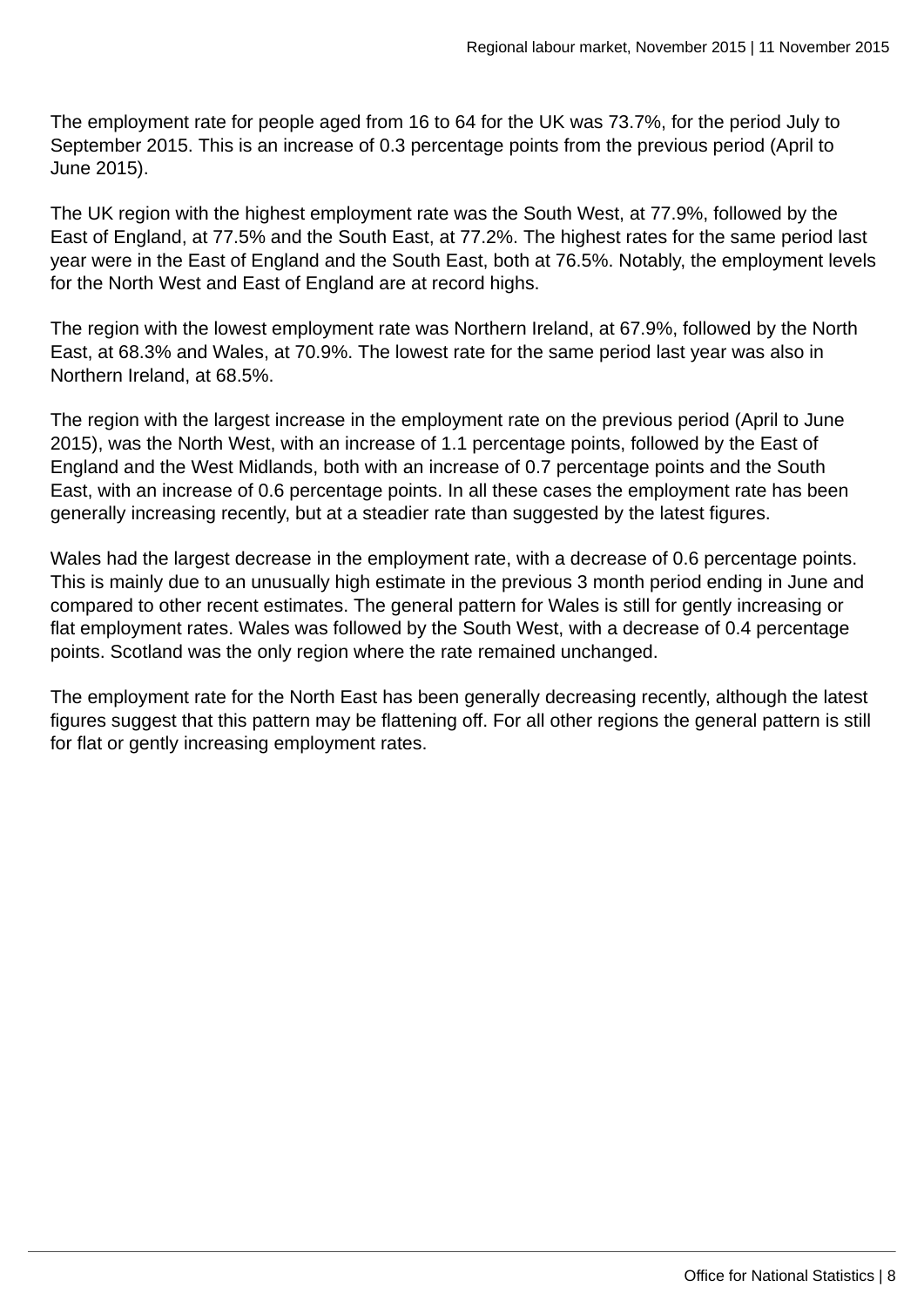The employment rate for people aged from 16 to 64 for the UK was 73.7%, for the period July to September 2015. This is an increase of 0.3 percentage points from the previous period (April to June 2015).

The UK region with the highest employment rate was the South West, at 77.9%, followed by the East of England, at 77.5% and the South East, at 77.2%. The highest rates for the same period last year were in the East of England and the South East, both at 76.5%. Notably, the employment levels for the North West and East of England are at record highs.

The region with the lowest employment rate was Northern Ireland, at 67.9%, followed by the North East, at 68.3% and Wales, at 70.9%. The lowest rate for the same period last year was also in Northern Ireland, at 68.5%.

The region with the largest increase in the employment rate on the previous period (April to June 2015), was the North West, with an increase of 1.1 percentage points, followed by the East of England and the West Midlands, both with an increase of 0.7 percentage points and the South East, with an increase of 0.6 percentage points. In all these cases the employment rate has been generally increasing recently, but at a steadier rate than suggested by the latest figures.

Wales had the largest decrease in the employment rate, with a decrease of 0.6 percentage points. This is mainly due to an unusually high estimate in the previous 3 month period ending in June and compared to other recent estimates. The general pattern for Wales is still for gently increasing or flat employment rates. Wales was followed by the South West, with a decrease of 0.4 percentage points. Scotland was the only region where the rate remained unchanged.

The employment rate for the North East has been generally decreasing recently, although the latest figures suggest that this pattern may be flattening off. For all other regions the general pattern is still for flat or gently increasing employment rates.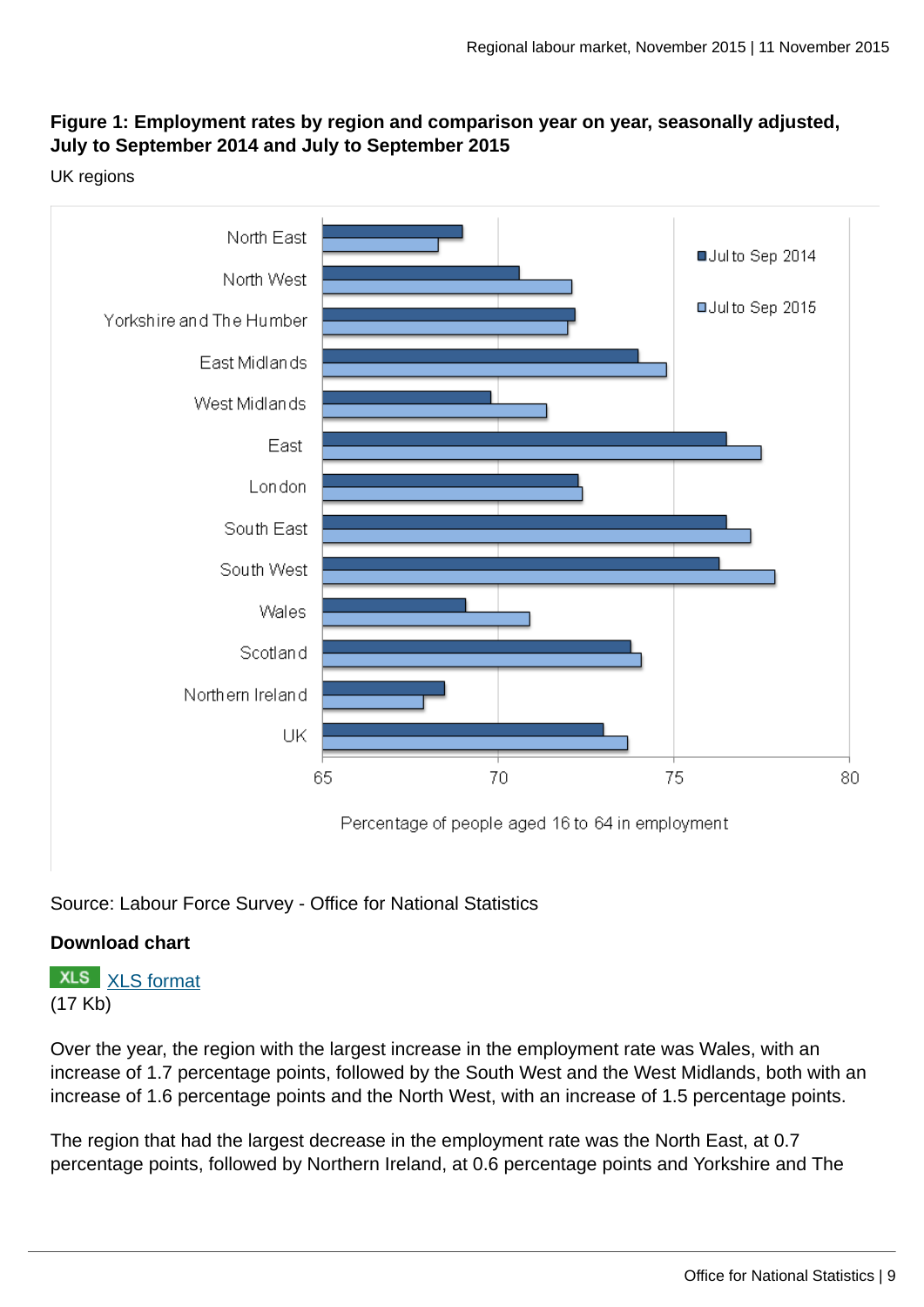## **Figure 1: Employment rates by region and comparison year on year, seasonally adjusted, July to September 2014 and July to September 2015**

UK regions



## Source: Labour Force Survey - Office for National Statistics

#### **Download chart**

**XLS** [XLS format](http://www.ons.gov.uk:80/ons/rel/subnational-labour/regional-labour-market-statistics/november-2015/chd-1.xls) (17 Kb)

Over the year, the region with the largest increase in the employment rate was Wales, with an increase of 1.7 percentage points, followed by the South West and the West Midlands, both with an increase of 1.6 percentage points and the North West, with an increase of 1.5 percentage points.

The region that had the largest decrease in the employment rate was the North East, at 0.7 percentage points, followed by Northern Ireland, at 0.6 percentage points and Yorkshire and The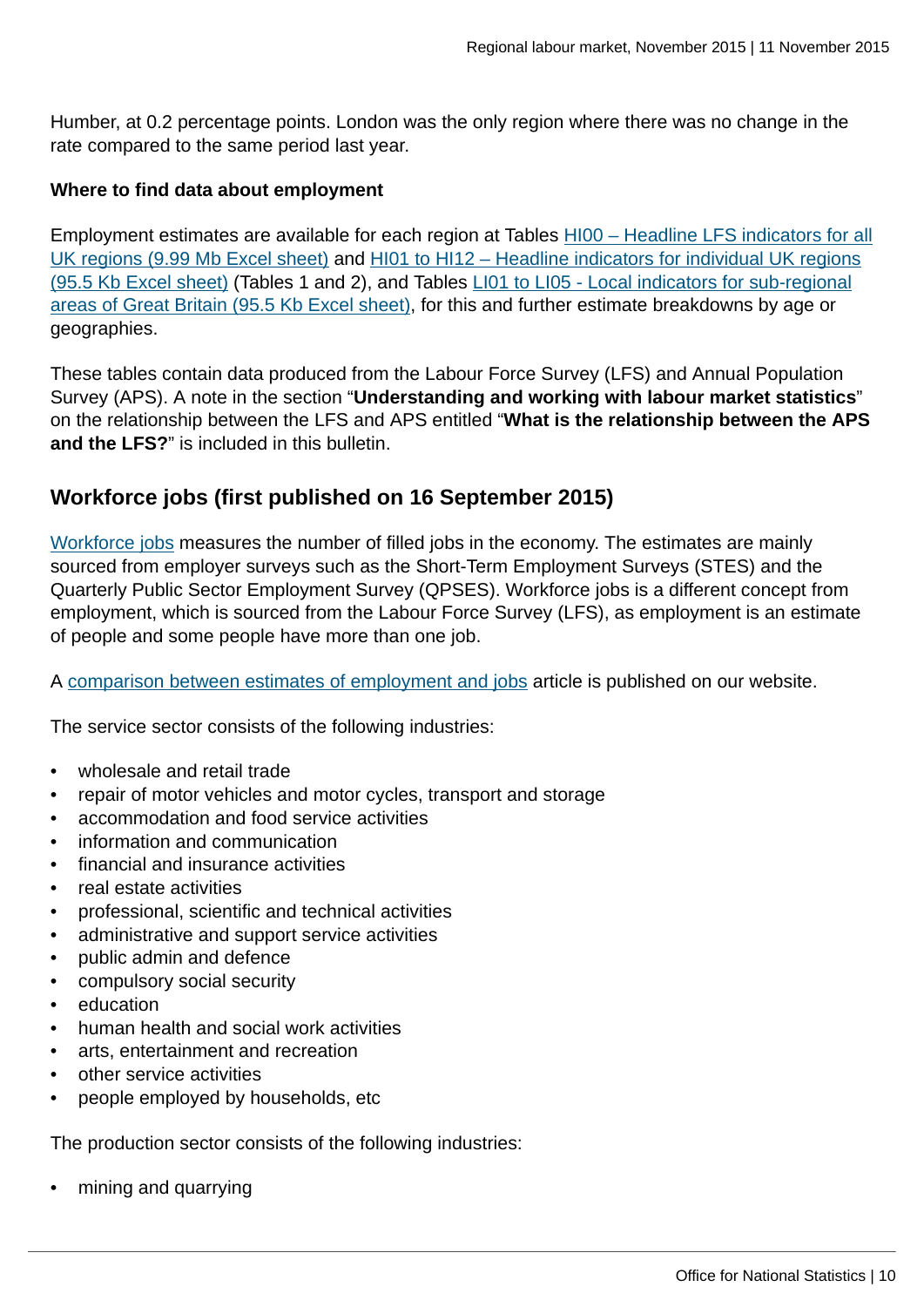Humber, at 0.2 percentage points. London was the only region where there was no change in the rate compared to the same period last year.

#### **Where to find data about employment**

Employment estimates are available for each region at Tables [HI00 – Headline LFS indicators for all](http://www.ons.gov.uk:80/ons/rel/subnational-labour/regional-labour-market-statistics/november-2015/rft-lm-hi00-november-2015.xls) [UK regions \(9.99 Mb Excel sheet\)](http://www.ons.gov.uk:80/ons/rel/subnational-labour/regional-labour-market-statistics/november-2015/rft-lm-hi00-november-2015.xls) and [HI01 to HI12 – Headline indicators for individual UK regions](http://www.ons.gov.uk:80/ons/rel/subnational-labour/regional-labour-market-statistics/november-2015/rft-guide-to-tables-november-2015.xls) [\(95.5 Kb Excel sheet\)](http://www.ons.gov.uk:80/ons/rel/subnational-labour/regional-labour-market-statistics/november-2015/rft-guide-to-tables-november-2015.xls) (Tables 1 and 2), and Tables [LI01 to LI05 - Local indicators for sub-regional](http://www.ons.gov.uk:80/ons/rel/subnational-labour/regional-labour-market-statistics/november-2015/rft-guide-to-tables-november-2015.xls) [areas of Great Britain \(95.5 Kb Excel sheet\)](http://www.ons.gov.uk:80/ons/rel/subnational-labour/regional-labour-market-statistics/november-2015/rft-guide-to-tables-november-2015.xls), for this and further estimate breakdowns by age or geographies.

These tables contain data produced from the Labour Force Survey (LFS) and Annual Population Survey (APS). A note in the section "**Understanding and working with labour market statistics**" on the relationship between the LFS and APS entitled "**What is the relationship between the APS and the LFS?**" is included in this bulletin.

# **Workforce jobs (first published on 16 September 2015)**

[Workforce jobs](http://www.ons.gov.uk:80/ons/rel/lms/labour-market-guidance/guide-to-labour-market-statistics/guide-to-jobs.html) measures the number of filled jobs in the economy. The estimates are mainly sourced from employer surveys such as the Short-Term Employment Surveys (STES) and the Quarterly Public Sector Employment Survey (QPSES). Workforce jobs is a different concept from employment, which is sourced from the Labour Force Survey (LFS), as employment is an estimate of people and some people have more than one job.

A [comparison between estimates of employment and jobs](http://www.ons.gov.uk:80/ons/rel/lms/labour-market-statistics/september-2015/reconciliation-of-estimates-of-jobs--august-2015.html) article is published on our website.

The service sector consists of the following industries:

- wholesale and retail trade
- repair of motor vehicles and motor cycles, transport and storage
- accommodation and food service activities
- information and communication
- financial and insurance activities
- real estate activities
- professional, scientific and technical activities
- administrative and support service activities
- public admin and defence
- compulsory social security
- education
- human health and social work activities
- arts, entertainment and recreation
- other service activities
- people employed by households, etc

The production sector consists of the following industries:

• mining and quarrying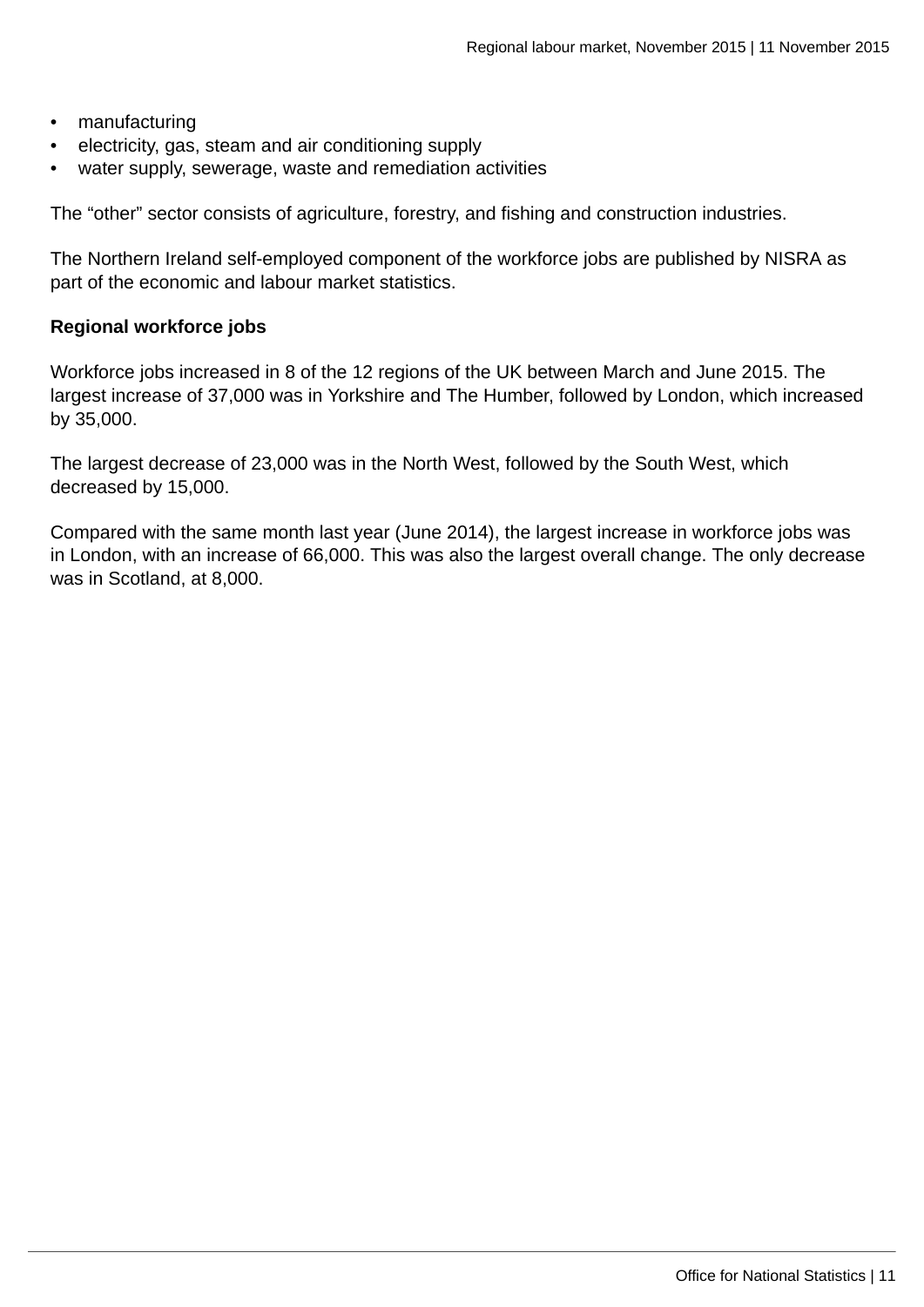- manufacturing
- electricity, gas, steam and air conditioning supply
- water supply, sewerage, waste and remediation activities

The "other" sector consists of agriculture, forestry, and fishing and construction industries.

The Northern Ireland self-employed component of the workforce jobs are published by NISRA as part of the economic and labour market statistics.

#### **Regional workforce jobs**

Workforce jobs increased in 8 of the 12 regions of the UK between March and June 2015. The largest increase of 37,000 was in Yorkshire and The Humber, followed by London, which increased by 35,000.

The largest decrease of 23,000 was in the North West, followed by the South West, which decreased by 15,000.

Compared with the same month last year (June 2014), the largest increase in workforce jobs was in London, with an increase of 66,000. This was also the largest overall change. The only decrease was in Scotland, at 8,000.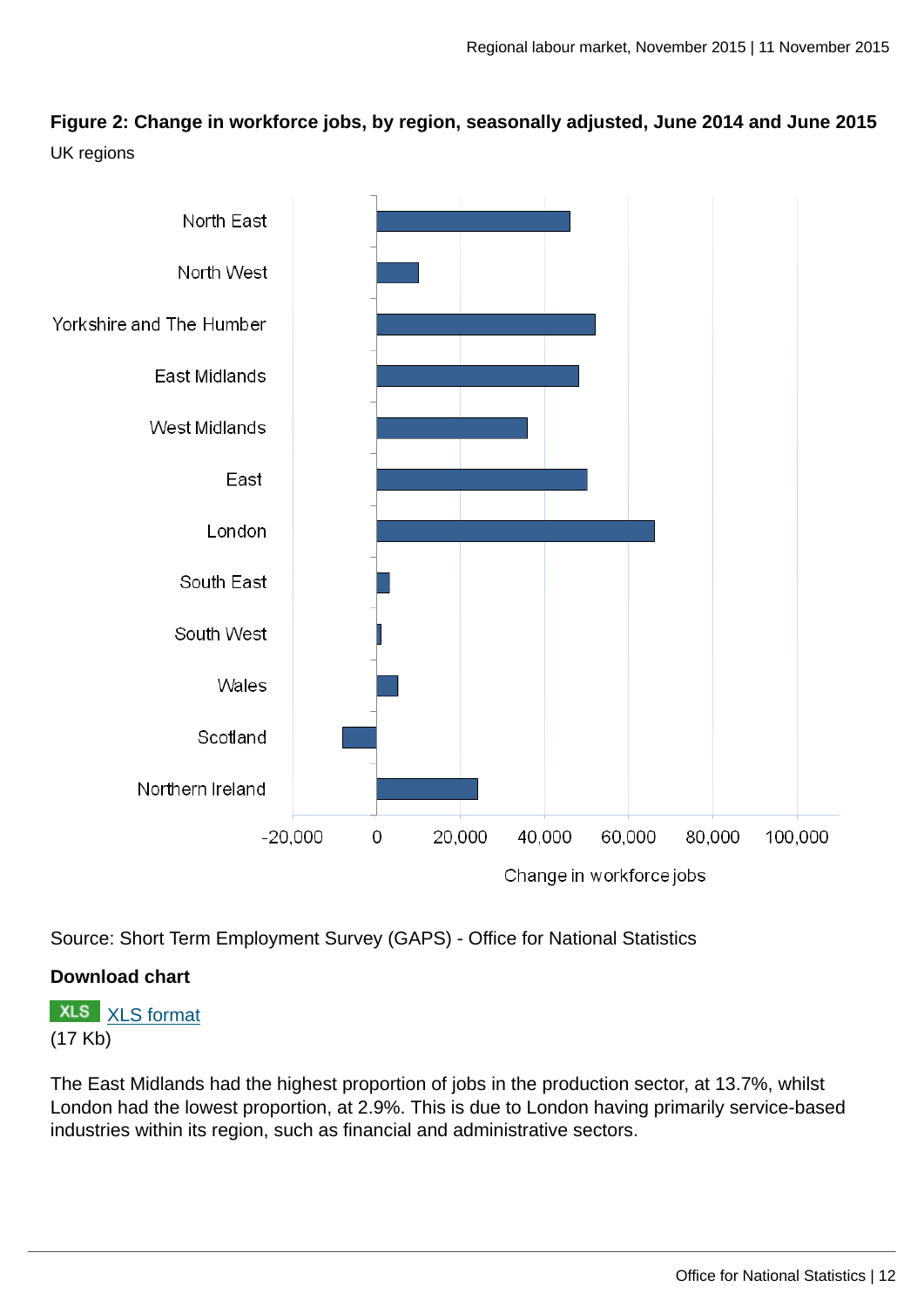**Figure 2: Change in workforce jobs, by region, seasonally adjusted, June 2014 and June 2015** UK regions



Source: Short Term Employment Survey (GAPS) - Office for National Statistics

## **Download chart**

**XLS** [XLS format](http://www.ons.gov.uk:80/ons/rel/subnational-labour/regional-labour-market-statistics/november-2015/chd-2.xls) (17 Kb)

The East Midlands had the highest proportion of jobs in the production sector, at 13.7%, whilst London had the lowest proportion, at 2.9%. This is due to London having primarily service-based industries within its region, such as financial and administrative sectors.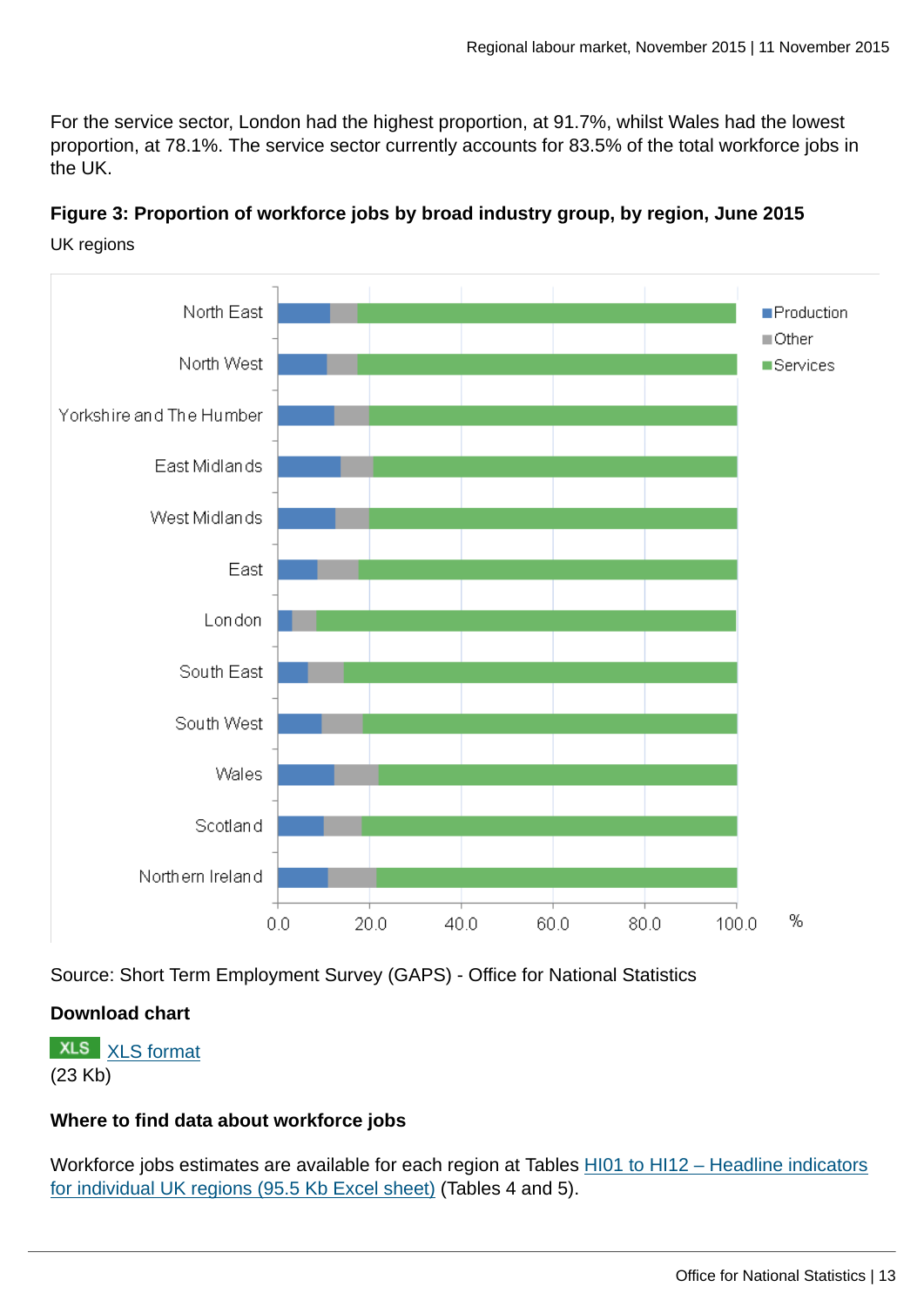For the service sector, London had the highest proportion, at 91.7%, whilst Wales had the lowest proportion, at 78.1%. The service sector currently accounts for 83.5% of the total workforce jobs in the UK.



# **Figure 3: Proportion of workforce jobs by broad industry group, by region, June 2015** UK regions

Source: Short Term Employment Survey (GAPS) - Office for National Statistics

# **Download chart**

**XLS** [XLS format](http://www.ons.gov.uk:80/ons/rel/subnational-labour/regional-labour-market-statistics/november-2015/chd-3.xls) (23 Kb)

# **Where to find data about workforce jobs**

Workforce jobs estimates are available for each region at Tables [HI01 to HI12 – Headline indicators](http://www.ons.gov.uk:80/ons/rel/subnational-labour/regional-labour-market-statistics/november-2015/rft-guide-to-tables-november-2015.xls) [for individual UK regions \(95.5 Kb Excel sheet\)](http://www.ons.gov.uk:80/ons/rel/subnational-labour/regional-labour-market-statistics/november-2015/rft-guide-to-tables-november-2015.xls) (Tables 4 and 5).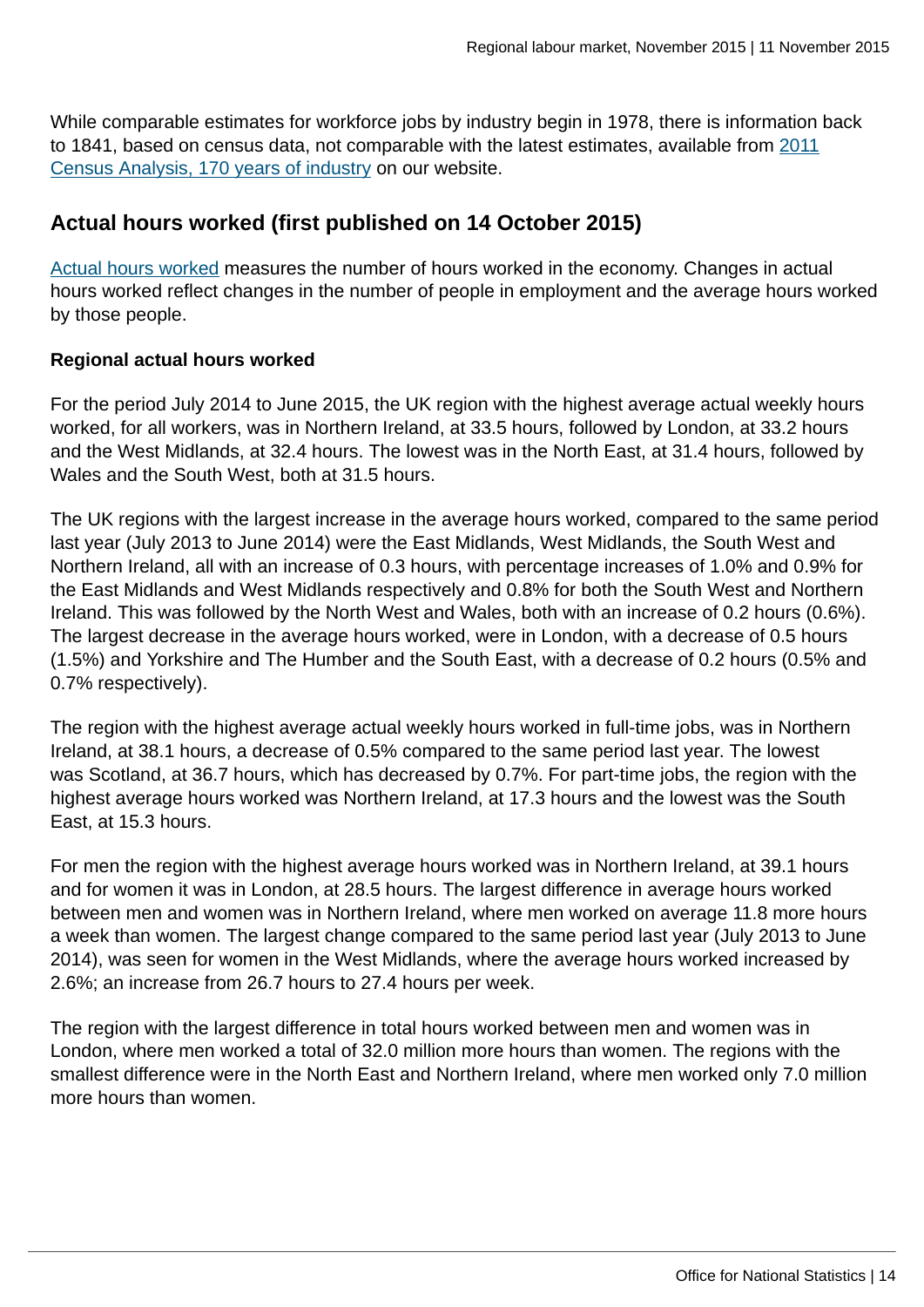While comparable estimates for workforce jobs by industry begin in 1978, there is information back to 1841, based on census data, not comparable with the latest estimates, available from [2011](http://www.ons.gov.uk:80/ons/rel/census/2011-census-analysis/170-years-of-industry/170-years-of-industrial-changeponent.html) [Census Analysis, 170 years of industry](http://www.ons.gov.uk:80/ons/rel/census/2011-census-analysis/170-years-of-industry/170-years-of-industrial-changeponent.html) on our website.

# **Actual hours worked (first published on 14 October 2015)**

[Actual hours worked](http://www.ons.gov.uk:80/ons/rel/lms/labour-market-guidance/guide-to-labour-market-statistics/guide-to-hours-worked.html) measures the number of hours worked in the economy. Changes in actual hours worked reflect changes in the number of people in employment and the average hours worked by those people.

## **Regional actual hours worked**

For the period July 2014 to June 2015, the UK region with the highest average actual weekly hours worked, for all workers, was in Northern Ireland, at 33.5 hours, followed by London, at 33.2 hours and the West Midlands, at 32.4 hours. The lowest was in the North East, at 31.4 hours, followed by Wales and the South West, both at 31.5 hours.

The UK regions with the largest increase in the average hours worked, compared to the same period last year (July 2013 to June 2014) were the East Midlands, West Midlands, the South West and Northern Ireland, all with an increase of 0.3 hours, with percentage increases of 1.0% and 0.9% for the East Midlands and West Midlands respectively and 0.8% for both the South West and Northern Ireland. This was followed by the North West and Wales, both with an increase of 0.2 hours (0.6%). The largest decrease in the average hours worked, were in London, with a decrease of 0.5 hours (1.5%) and Yorkshire and The Humber and the South East, with a decrease of 0.2 hours (0.5% and 0.7% respectively).

The region with the highest average actual weekly hours worked in full-time jobs, was in Northern Ireland, at 38.1 hours, a decrease of 0.5% compared to the same period last year. The lowest was Scotland, at 36.7 hours, which has decreased by 0.7%. For part-time jobs, the region with the highest average hours worked was Northern Ireland, at 17.3 hours and the lowest was the South East, at 15.3 hours.

For men the region with the highest average hours worked was in Northern Ireland, at 39.1 hours and for women it was in London, at 28.5 hours. The largest difference in average hours worked between men and women was in Northern Ireland, where men worked on average 11.8 more hours a week than women. The largest change compared to the same period last year (July 2013 to June 2014), was seen for women in the West Midlands, where the average hours worked increased by 2.6%; an increase from 26.7 hours to 27.4 hours per week.

The region with the largest difference in total hours worked between men and women was in London, where men worked a total of 32.0 million more hours than women. The regions with the smallest difference were in the North East and Northern Ireland, where men worked only 7.0 million more hours than women.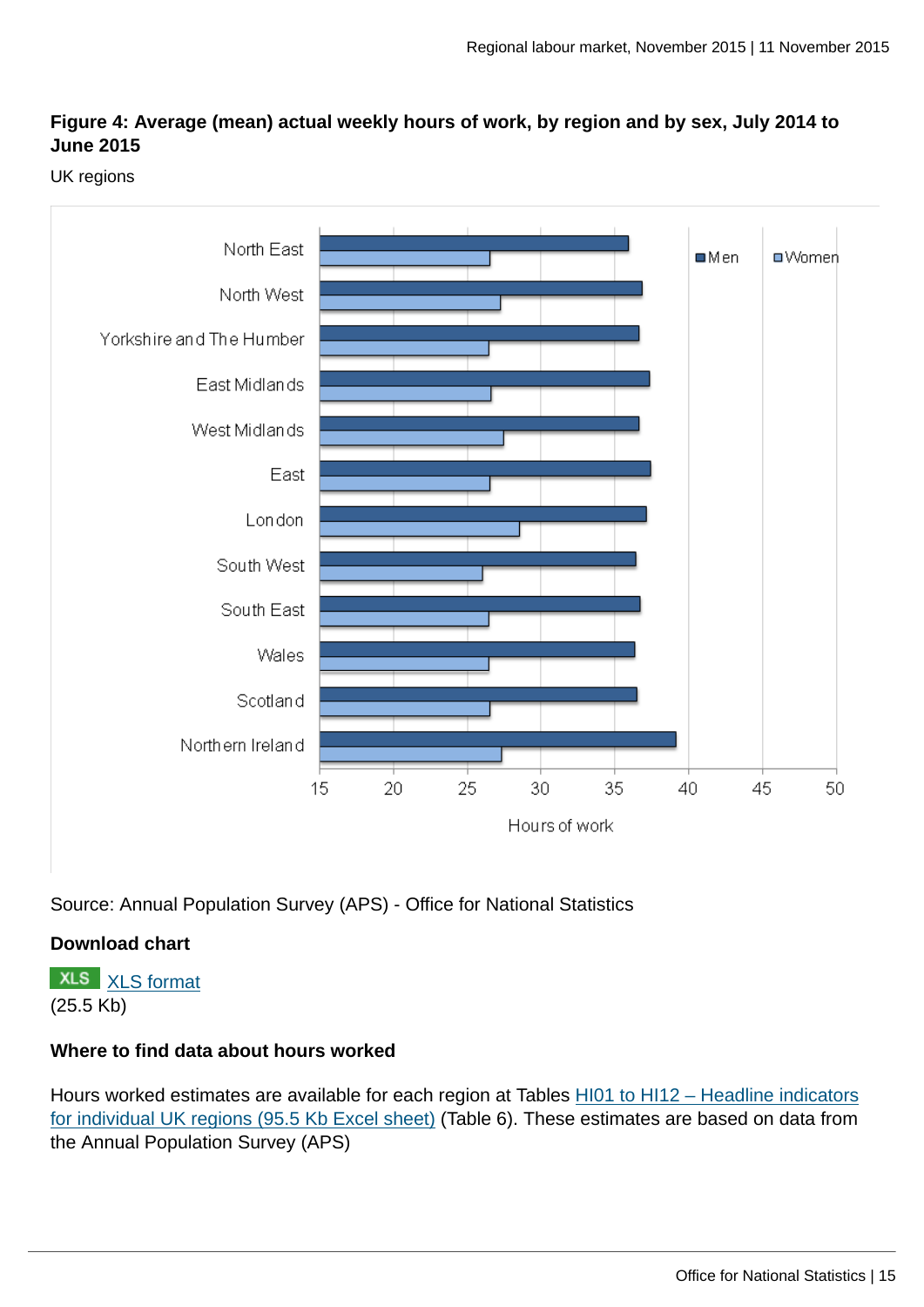# **Figure 4: Average (mean) actual weekly hours of work, by region and by sex, July 2014 to June 2015**

UK regions



## Source: Annual Population Survey (APS) - Office for National Statistics

#### **Download chart**

**XLS** [XLS format](http://www.ons.gov.uk:80/ons/rel/subnational-labour/regional-labour-market-statistics/november-2015/chd-4.xls) (25.5 Kb)

## **Where to find data about hours worked**

Hours worked estimates are available for each region at Tables [HI01 to HI12 – Headline indicators](http://www.ons.gov.uk:80/ons/rel/subnational-labour/regional-labour-market-statistics/november-2015/rft-guide-to-tables-november-2015.xls) [for individual UK regions \(95.5 Kb Excel sheet\)](http://www.ons.gov.uk:80/ons/rel/subnational-labour/regional-labour-market-statistics/november-2015/rft-guide-to-tables-november-2015.xls) (Table 6). These estimates are based on data from the Annual Population Survey (APS)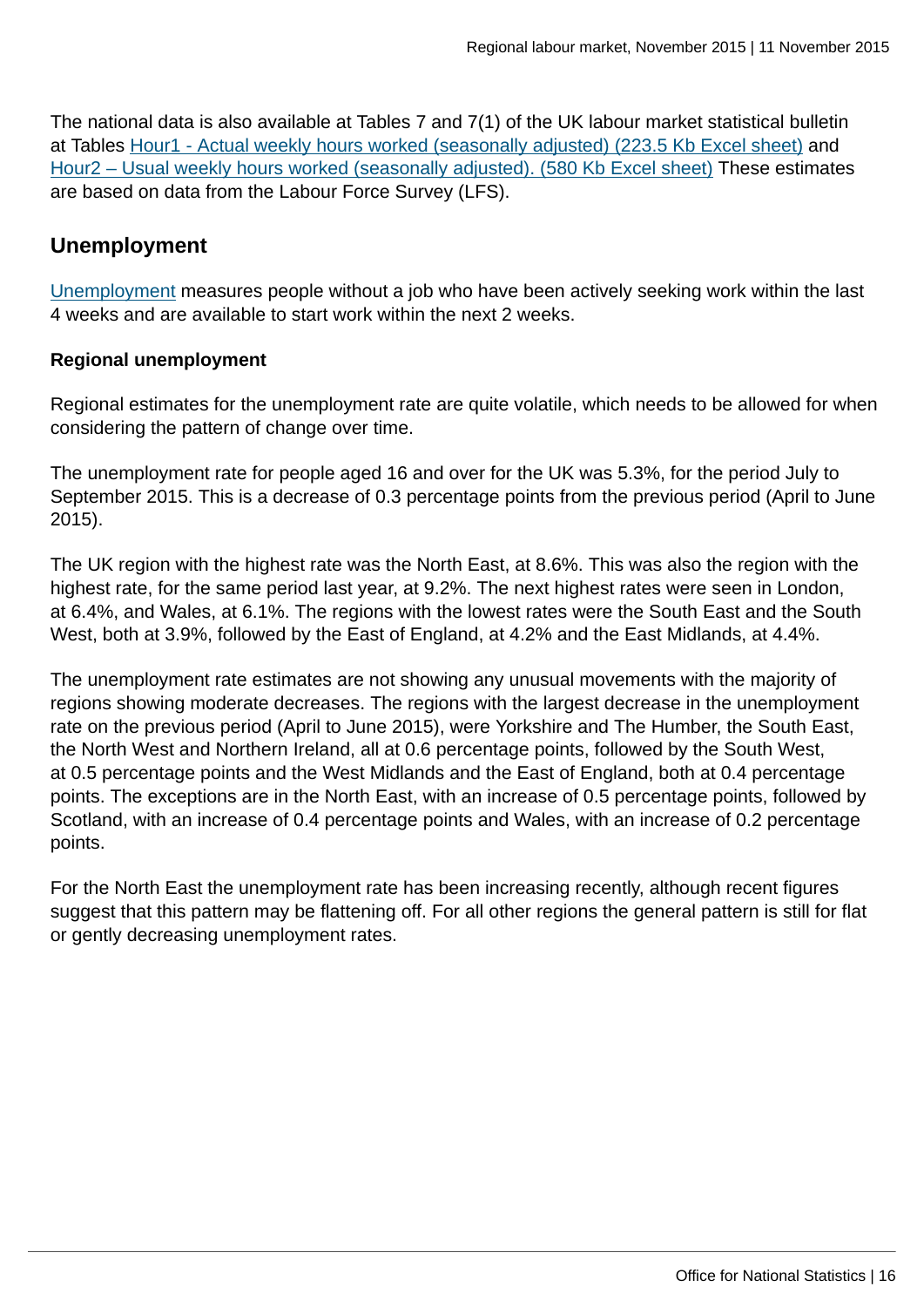The national data is also available at Tables 7 and 7(1) of the UK labour market statistical bulletin at Tables [Hour1 - Actual weekly hours worked \(seasonally adjusted\) \(223.5 Kb Excel sheet\)](http://www.ons.gov.uk:80/ons/rel/lms/labour-market-statistics/november-2015/table-hour01-sa.xls) and [Hour2 – Usual weekly hours worked \(seasonally adjusted\). \(580 Kb Excel sheet\)](http://www.ons.gov.uk:80/ons/rel/lms/labour-market-statistics/november-2015/table-hour02-sa.xls) These estimates are based on data from the Labour Force Survey (LFS).

# **Unemployment**

[Unemployment](http://www.ons.gov.uk:80/ons/rel/lms/labour-market-guidance/guide-to-labour-market-statistics/guide-to-unemployment.html) measures people without a job who have been actively seeking work within the last 4 weeks and are available to start work within the next 2 weeks.

## **Regional unemployment**

Regional estimates for the unemployment rate are quite volatile, which needs to be allowed for when considering the pattern of change over time.

The unemployment rate for people aged 16 and over for the UK was 5.3%, for the period July to September 2015. This is a decrease of 0.3 percentage points from the previous period (April to June 2015).

The UK region with the highest rate was the North East, at 8.6%. This was also the region with the highest rate, for the same period last year, at 9.2%. The next highest rates were seen in London, at 6.4%, and Wales, at 6.1%. The regions with the lowest rates were the South East and the South West, both at 3.9%, followed by the East of England, at 4.2% and the East Midlands, at 4.4%.

The unemployment rate estimates are not showing any unusual movements with the majority of regions showing moderate decreases. The regions with the largest decrease in the unemployment rate on the previous period (April to June 2015), were Yorkshire and The Humber, the South East, the North West and Northern Ireland, all at 0.6 percentage points, followed by the South West, at 0.5 percentage points and the West Midlands and the East of England, both at 0.4 percentage points. The exceptions are in the North East, with an increase of 0.5 percentage points, followed by Scotland, with an increase of 0.4 percentage points and Wales, with an increase of 0.2 percentage points.

For the North East the unemployment rate has been increasing recently, although recent figures suggest that this pattern may be flattening off. For all other regions the general pattern is still for flat or gently decreasing unemployment rates.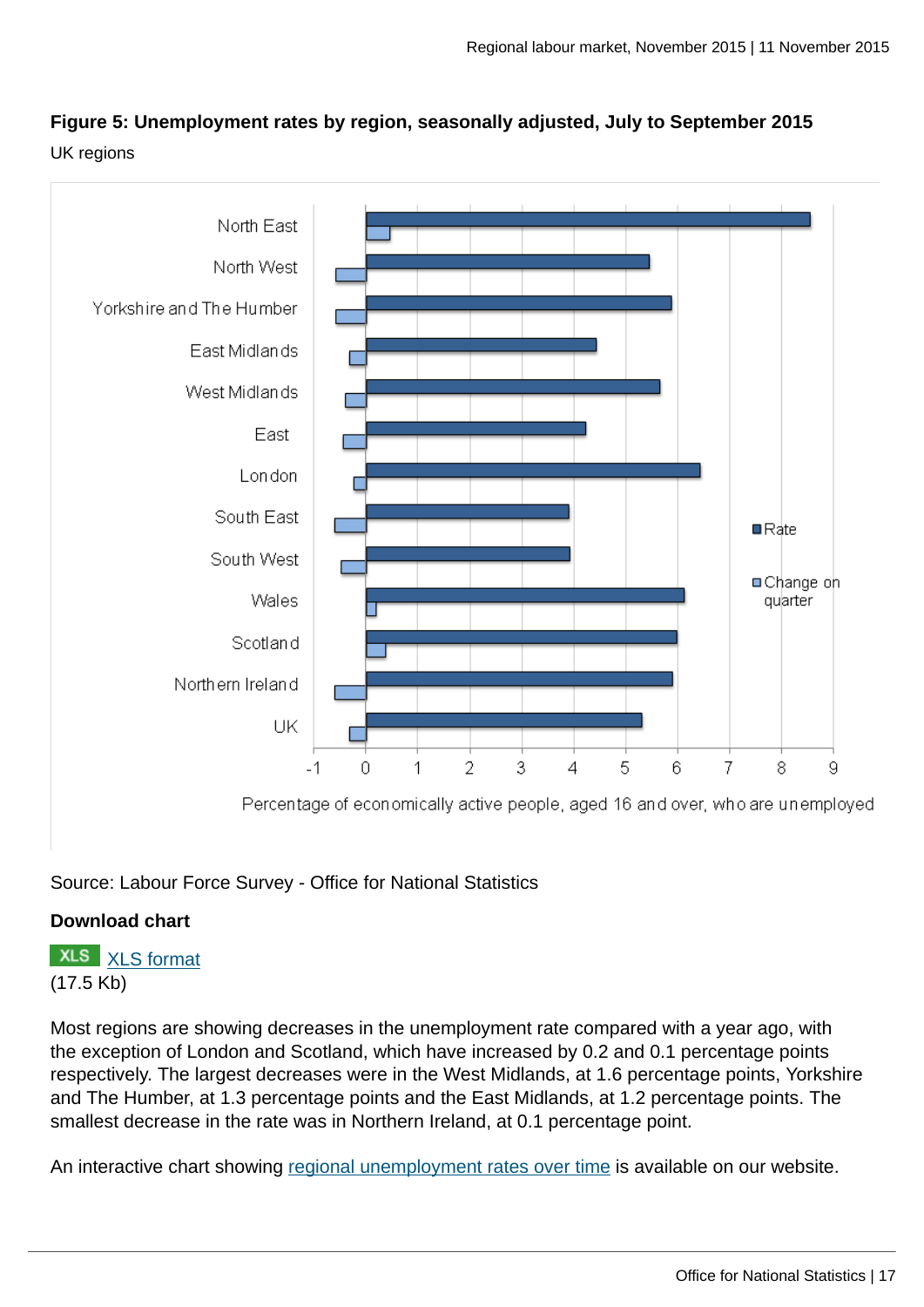# **Figure 5: Unemployment rates by region, seasonally adjusted, July to September 2015** UK regions



# Source: Labour Force Survey - Office for National Statistics

## **Download chart**

**XLS** [XLS format](http://www.ons.gov.uk:80/ons/rel/subnational-labour/regional-labour-market-statistics/november-2015/chd-5.xls) (17.5 Kb)

Most regions are showing decreases in the unemployment rate compared with a year ago, with the exception of London and Scotland, which have increased by 0.2 and 0.1 percentage points respectively. The largest decreases were in the West Midlands, at 1.6 percentage points, Yorkshire and The Humber, at 1.3 percentage points and the East Midlands, at 1.2 percentage points. The smallest decrease in the rate was in Northern Ireland, at 0.1 percentage point.

An interactive chart showing [regional unemployment rates over time](http://www.ons.gov.uk/ons/interactive/unemployment-rate-by-region---dvc7/index.html) is available on our website.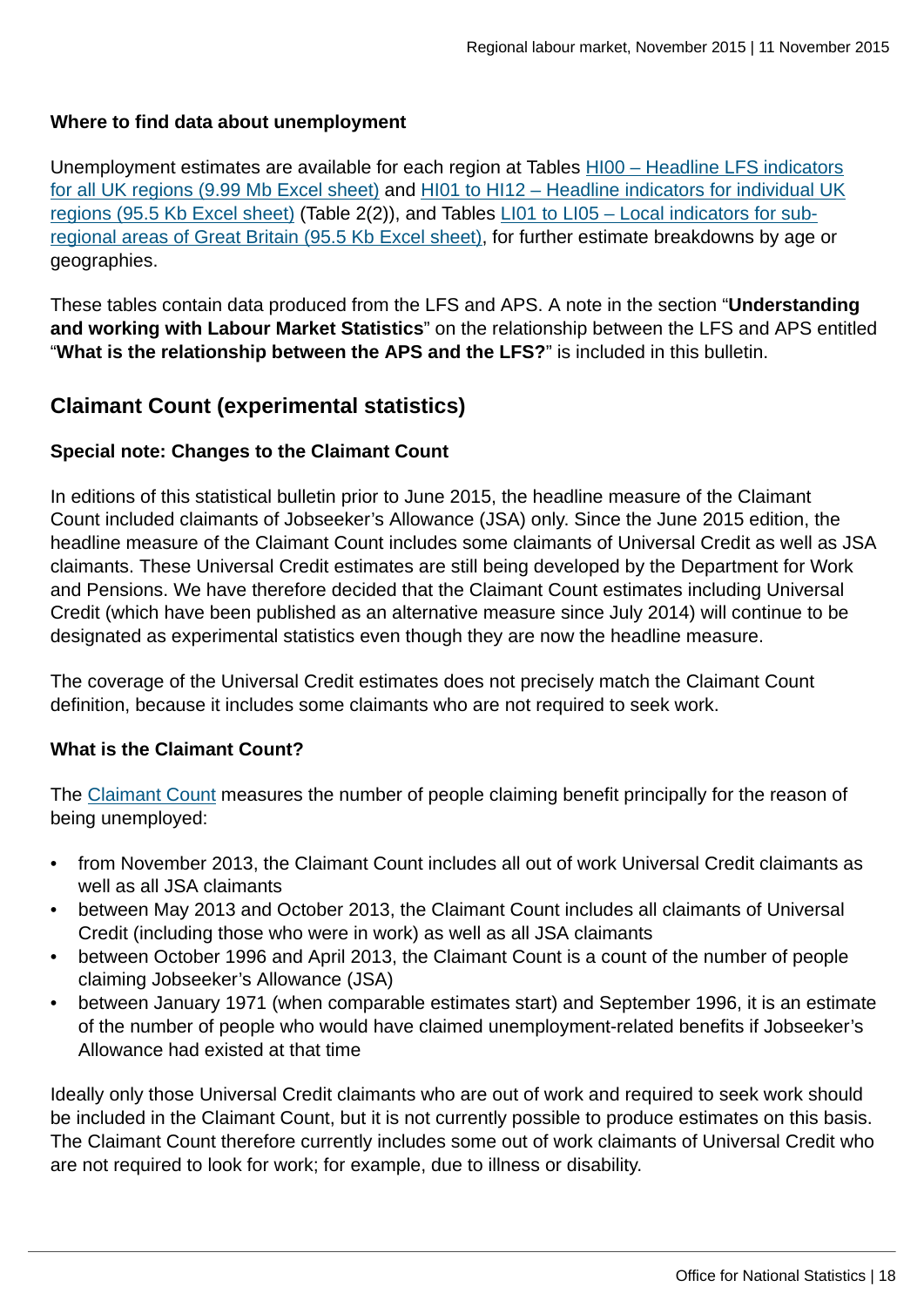## **Where to find data about unemployment**

Unemployment estimates are available for each region at Tables [HI00 – Headline LFS indicators](http://www.ons.gov.uk:80/ons/rel/subnational-labour/regional-labour-market-statistics/november-2015/rft-lm-hi00-november-2015.xls) [for all UK regions \(9.99 Mb Excel sheet\)](http://www.ons.gov.uk:80/ons/rel/subnational-labour/regional-labour-market-statistics/november-2015/rft-lm-hi00-november-2015.xls) and [HI01 to HI12 – Headline indicators for individual UK](http://www.ons.gov.uk:80/ons/rel/subnational-labour/regional-labour-market-statistics/november-2015/rft-guide-to-tables-november-2015.xls) [regions \(95.5 Kb Excel sheet\)](http://www.ons.gov.uk:80/ons/rel/subnational-labour/regional-labour-market-statistics/november-2015/rft-guide-to-tables-november-2015.xls) (Table 2(2)), and Tables [LI01 to LI05 – Local indicators for sub](http://www.ons.gov.uk:80/ons/rel/subnational-labour/regional-labour-market-statistics/november-2015/rft-guide-to-tables-november-2015.xls)[regional areas of Great Britain \(95.5 Kb Excel sheet\)](http://www.ons.gov.uk:80/ons/rel/subnational-labour/regional-labour-market-statistics/november-2015/rft-guide-to-tables-november-2015.xls), for further estimate breakdowns by age or geographies.

These tables contain data produced from the LFS and APS. A note in the section "**Understanding and working with Labour Market Statistics**" on the relationship between the LFS and APS entitled "**What is the relationship between the APS and the LFS?**" is included in this bulletin.

# **Claimant Count (experimental statistics)**

## **Special note: Changes to the Claimant Count**

In editions of this statistical bulletin prior to June 2015, the headline measure of the Claimant Count included claimants of Jobseeker's Allowance (JSA) only. Since the June 2015 edition, the headline measure of the Claimant Count includes some claimants of Universal Credit as well as JSA claimants. These Universal Credit estimates are still being developed by the Department for Work and Pensions. We have therefore decided that the Claimant Count estimates including Universal Credit (which have been published as an alternative measure since July 2014) will continue to be designated as experimental statistics even though they are now the headline measure.

The coverage of the Universal Credit estimates does not precisely match the Claimant Count definition, because it includes some claimants who are not required to seek work.

## **What is the Claimant Count?**

The [Claimant Count](http://www.ons.gov.uk:80/ons/rel/lms/labour-market-guidance/guide-to-labour-market-statistics/guide-to-claimant-count.html) measures the number of people claiming benefit principally for the reason of being unemployed:

- from November 2013, the Claimant Count includes all out of work Universal Credit claimants as well as all JSA claimants
- between May 2013 and October 2013, the Claimant Count includes all claimants of Universal Credit (including those who were in work) as well as all JSA claimants
- between October 1996 and April 2013, the Claimant Count is a count of the number of people claiming Jobseeker's Allowance (JSA)
- between January 1971 (when comparable estimates start) and September 1996, it is an estimate of the number of people who would have claimed unemployment-related benefits if Jobseeker's Allowance had existed at that time

Ideally only those Universal Credit claimants who are out of work and required to seek work should be included in the Claimant Count, but it is not currently possible to produce estimates on this basis. The Claimant Count therefore currently includes some out of work claimants of Universal Credit who are not required to look for work; for example, due to illness or disability.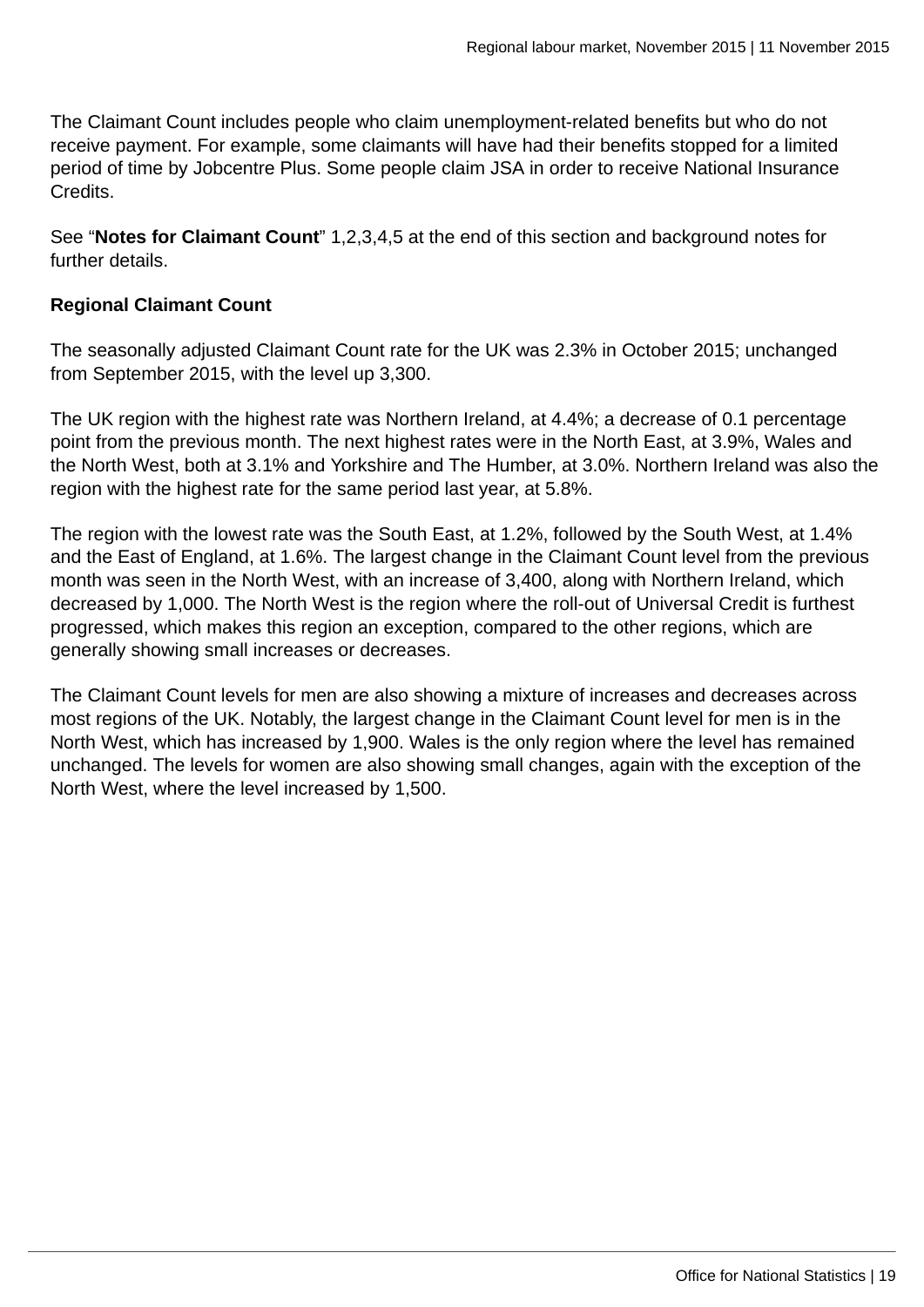The Claimant Count includes people who claim unemployment-related benefits but who do not receive payment. For example, some claimants will have had their benefits stopped for a limited period of time by Jobcentre Plus. Some people claim JSA in order to receive National Insurance Credits.

See "**Notes for Claimant Count**" 1,2,3,4,5 at the end of this section and background notes for further details.

#### **Regional Claimant Count**

The seasonally adjusted Claimant Count rate for the UK was 2.3% in October 2015; unchanged from September 2015, with the level up 3,300.

The UK region with the highest rate was Northern Ireland, at 4.4%; a decrease of 0.1 percentage point from the previous month. The next highest rates were in the North East, at 3.9%, Wales and the North West, both at 3.1% and Yorkshire and The Humber, at 3.0%. Northern Ireland was also the region with the highest rate for the same period last year, at 5.8%.

The region with the lowest rate was the South East, at 1.2%, followed by the South West, at 1.4% and the East of England, at 1.6%. The largest change in the Claimant Count level from the previous month was seen in the North West, with an increase of 3,400, along with Northern Ireland, which decreased by 1,000. The North West is the region where the roll-out of Universal Credit is furthest progressed, which makes this region an exception, compared to the other regions, which are generally showing small increases or decreases.

The Claimant Count levels for men are also showing a mixture of increases and decreases across most regions of the UK. Notably, the largest change in the Claimant Count level for men is in the North West, which has increased by 1,900. Wales is the only region where the level has remained unchanged. The levels for women are also showing small changes, again with the exception of the North West, where the level increased by 1,500.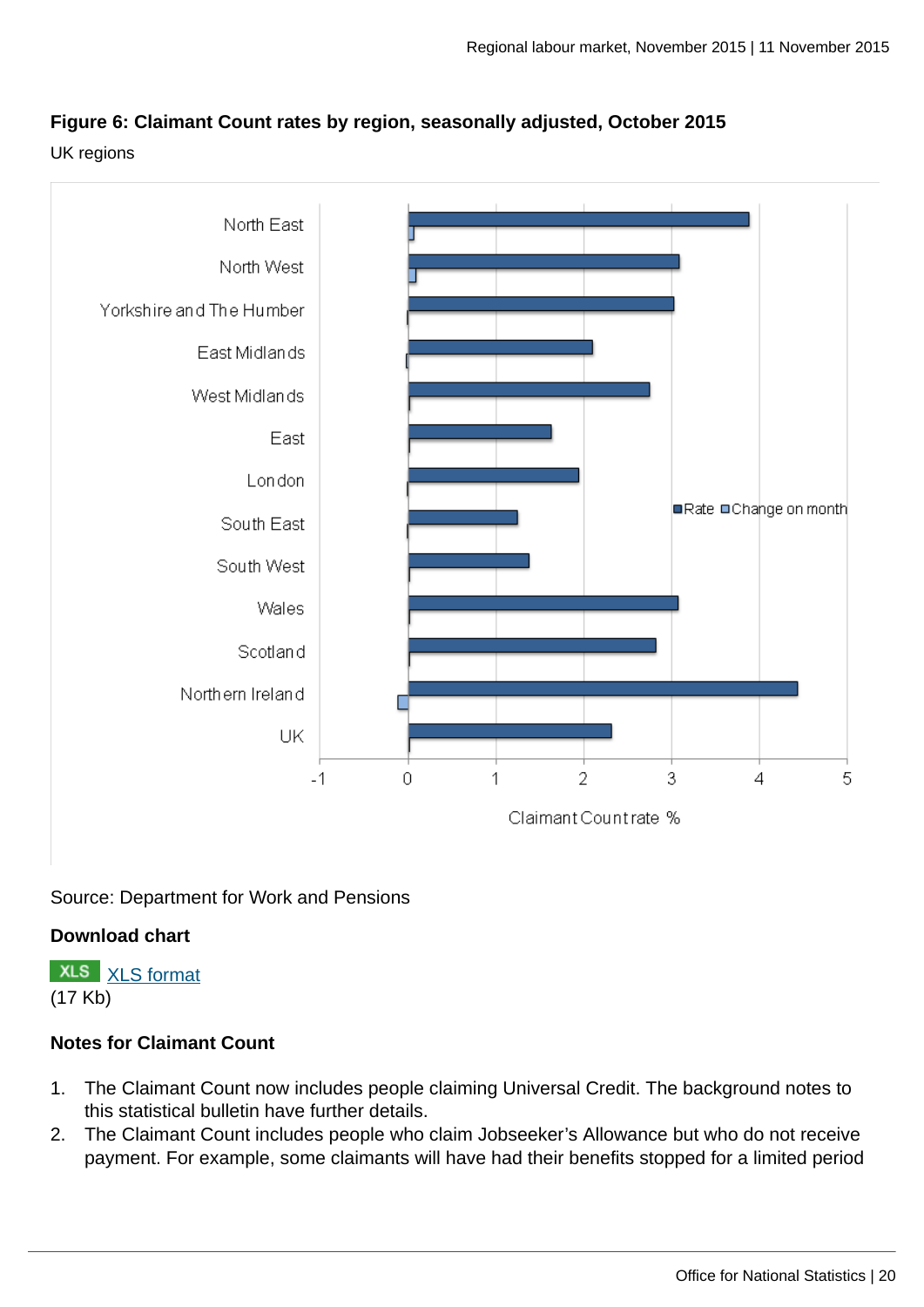## **Figure 6: Claimant Count rates by region, seasonally adjusted, October 2015**

UK regions



## Source: Department for Work and Pensions

#### **Download chart**

**XLS** [XLS format](http://www.ons.gov.uk:80/ons/rel/subnational-labour/regional-labour-market-statistics/november-2015/chd-6.xls) (17 Kb)

## **Notes for Claimant Count**

- 1. The Claimant Count now includes people claiming Universal Credit. The background notes to this statistical bulletin have further details.
- 2. The Claimant Count includes people who claim Jobseeker's Allowance but who do not receive payment. For example, some claimants will have had their benefits stopped for a limited period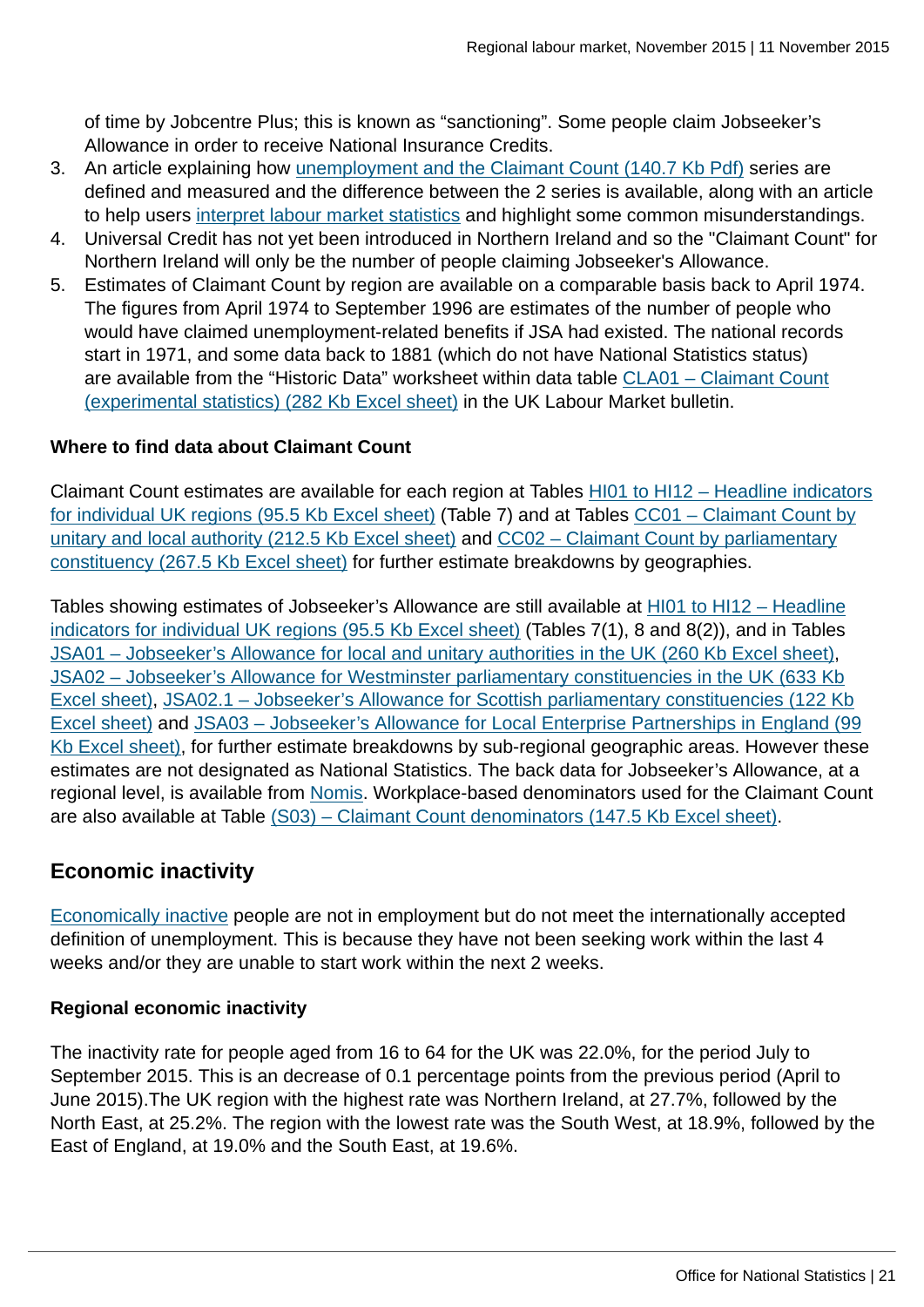of time by Jobcentre Plus; this is known as "sanctioning". Some people claim Jobseeker's Allowance in order to receive National Insurance Credits.

- 3. An article explaining how [unemployment and the Claimant Count \(140.7 Kb Pdf\)](http://www.ons.gov.uk:80/ons/guide-method/method-quality/specific/labour-market/claimant-count/unemployment-and-the-claimant-count.pdf) series are defined and measured and the difference between the 2 series is available, along with an article to help users [interpret labour market statistics](http://www.ons.gov.uk:80/ons/rel/lms/labour-market-guidance/interpreting-labour-market-statistics/index.html) and highlight some common misunderstandings.
- 4. Universal Credit has not yet been introduced in Northern Ireland and so the "Claimant Count" for Northern Ireland will only be the number of people claiming Jobseeker's Allowance.
- 5. Estimates of Claimant Count by region are available on a comparable basis back to April 1974. The figures from April 1974 to September 1996 are estimates of the number of people who would have claimed unemployment-related benefits if JSA had existed. The national records start in 1971, and some data back to 1881 (which do not have National Statistics status) are available from the "Historic Data" worksheet within data table [CLA01 – Claimant Count](http://www.ons.gov.uk:80/ons/rel/lms/labour-market-statistics/november-2015/table-cla01.xls) [\(experimental statistics\) \(282 Kb Excel sheet\)](http://www.ons.gov.uk:80/ons/rel/lms/labour-market-statistics/november-2015/table-cla01.xls) in the UK Labour Market bulletin.

## **Where to find data about Claimant Count**

Claimant Count estimates are available for each region at Tables [HI01 to HI12 – Headline indicators](http://www.ons.gov.uk:80/ons/rel/subnational-labour/regional-labour-market-statistics/november-2015/rft-guide-to-tables-november-2015.xls) [for individual UK regions \(95.5 Kb Excel sheet\)](http://www.ons.gov.uk:80/ons/rel/subnational-labour/regional-labour-market-statistics/november-2015/rft-guide-to-tables-november-2015.xls) (Table 7) and at Tables CC01 - Claimant Count by [unitary and local authority \(212.5 Kb Excel sheet\)](http://www.ons.gov.uk:80/ons/rel/subnational-labour/regional-labour-market-statistics/november-2015/rft-lm-table-cc01-november-2015.xls) and CC02 - Claimant Count by parliamentary [constituency \(267.5 Kb Excel sheet\)](http://www.ons.gov.uk:80/ons/rel/subnational-labour/regional-labour-market-statistics/november-2015/rft-lm-table-cc02-november-2015.xls) for further estimate breakdowns by geographies.

Tables showing estimates of Jobseeker's Allowance are still available at [HI01 to HI12 – Headline](http://www.ons.gov.uk:80/ons/rel/subnational-labour/regional-labour-market-statistics/november-2015/rft-guide-to-tables-november-2015.xls) [indicators for individual UK regions \(95.5 Kb Excel sheet\)](http://www.ons.gov.uk:80/ons/rel/subnational-labour/regional-labour-market-statistics/november-2015/rft-guide-to-tables-november-2015.xls) (Tables 7(1), 8 and 8(2)), and in Tables [JSA01 – Jobseeker's Allowance for local and unitary authorities in the UK \(260 Kb Excel sheet\)](http://www.ons.gov.uk:80/ons/rel/subnational-labour/regional-labour-market-statistics/november-2015/rft-lm-table-jsa01-november-2015.xls), [JSA02 – Jobseeker's Allowance for Westminster parliamentary constituencies in the UK \(633 Kb](http://www.ons.gov.uk:80/ons/rel/subnational-labour/regional-labour-market-statistics/november-2015/rft-lm-table-jsa02-november-2015.xls) [Excel sheet\)](http://www.ons.gov.uk:80/ons/rel/subnational-labour/regional-labour-market-statistics/november-2015/rft-lm-table-jsa02-november-2015.xls), [JSA02.1 – Jobseeker's Allowance for Scottish parliamentary constituencies \(122 Kb](http://www.ons.gov.uk:80/ons/rel/subnational-labour/regional-labour-market-statistics/november-2015/rft-lm-table-jsa02-1-november-2015.xls) [Excel sheet\)](http://www.ons.gov.uk:80/ons/rel/subnational-labour/regional-labour-market-statistics/november-2015/rft-lm-table-jsa02-1-november-2015.xls) and [JSA03 – Jobseeker's Allowance for Local Enterprise Partnerships in England \(99](http://www.ons.gov.uk:80/ons/rel/subnational-labour/regional-labour-market-statistics/november-2015/rft-lm-table-jsa03-november-2015.xls) [Kb Excel sheet\)](http://www.ons.gov.uk:80/ons/rel/subnational-labour/regional-labour-market-statistics/november-2015/rft-lm-table-jsa03-november-2015.xls), for further estimate breakdowns by sub-regional geographic areas. However these estimates are not designated as National Statistics. The back data for Jobseeker's Allowance, at a regional level, is available from [Nomis.](http://www.ons.gov.uk/ons/external-links/other/nomis.html) Workplace-based denominators used for the Claimant Count are also available at Table [\(S03\) – Claimant Count denominators \(147.5 Kb Excel sheet\)](http://www.ons.gov.uk:80/ons/rel/subnational-labour/regional-labour-market-statistics/november-2015/rft-lm-cc-denominators-2015.xls).

# **Economic inactivity**

[Economically inactive](http://www.ons.gov.uk:80/ons/rel/lms/labour-market-guidance/guide-to-labour-market-statistics/guide-to-economic-inactivity.html) people are not in employment but do not meet the internationally accepted definition of unemployment. This is because they have not been seeking work within the last 4 weeks and/or they are unable to start work within the next 2 weeks.

## **Regional economic inactivity**

The inactivity rate for people aged from 16 to 64 for the UK was 22.0%, for the period July to September 2015. This is an decrease of 0.1 percentage points from the previous period (April to June 2015).The UK region with the highest rate was Northern Ireland, at 27.7%, followed by the North East, at 25.2%. The region with the lowest rate was the South West, at 18.9%, followed by the East of England, at 19.0% and the South East, at 19.6%.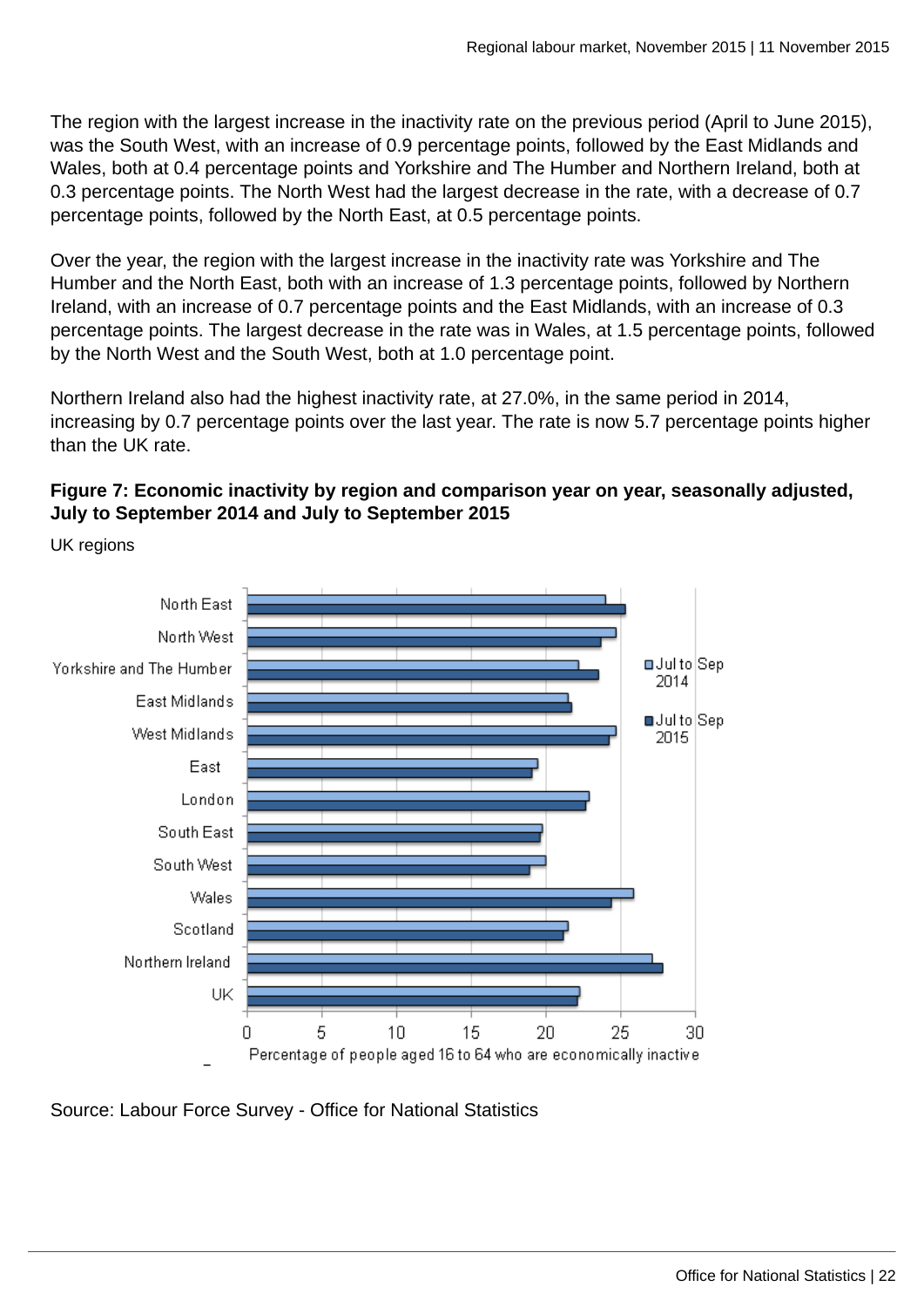The region with the largest increase in the inactivity rate on the previous period (April to June 2015), was the South West, with an increase of 0.9 percentage points, followed by the East Midlands and Wales, both at 0.4 percentage points and Yorkshire and The Humber and Northern Ireland, both at 0.3 percentage points. The North West had the largest decrease in the rate, with a decrease of 0.7 percentage points, followed by the North East, at 0.5 percentage points.

Over the year, the region with the largest increase in the inactivity rate was Yorkshire and The Humber and the North East, both with an increase of 1.3 percentage points, followed by Northern Ireland, with an increase of 0.7 percentage points and the East Midlands, with an increase of 0.3 percentage points. The largest decrease in the rate was in Wales, at 1.5 percentage points, followed by the North West and the South West, both at 1.0 percentage point.

Northern Ireland also had the highest inactivity rate, at 27.0%, in the same period in 2014, increasing by 0.7 percentage points over the last year. The rate is now 5.7 percentage points higher than the UK rate.

# **Figure 7: Economic inactivity by region and comparison year on year, seasonally adjusted, July to September 2014 and July to September 2015**

UK regions



Source: Labour Force Survey - Office for National Statistics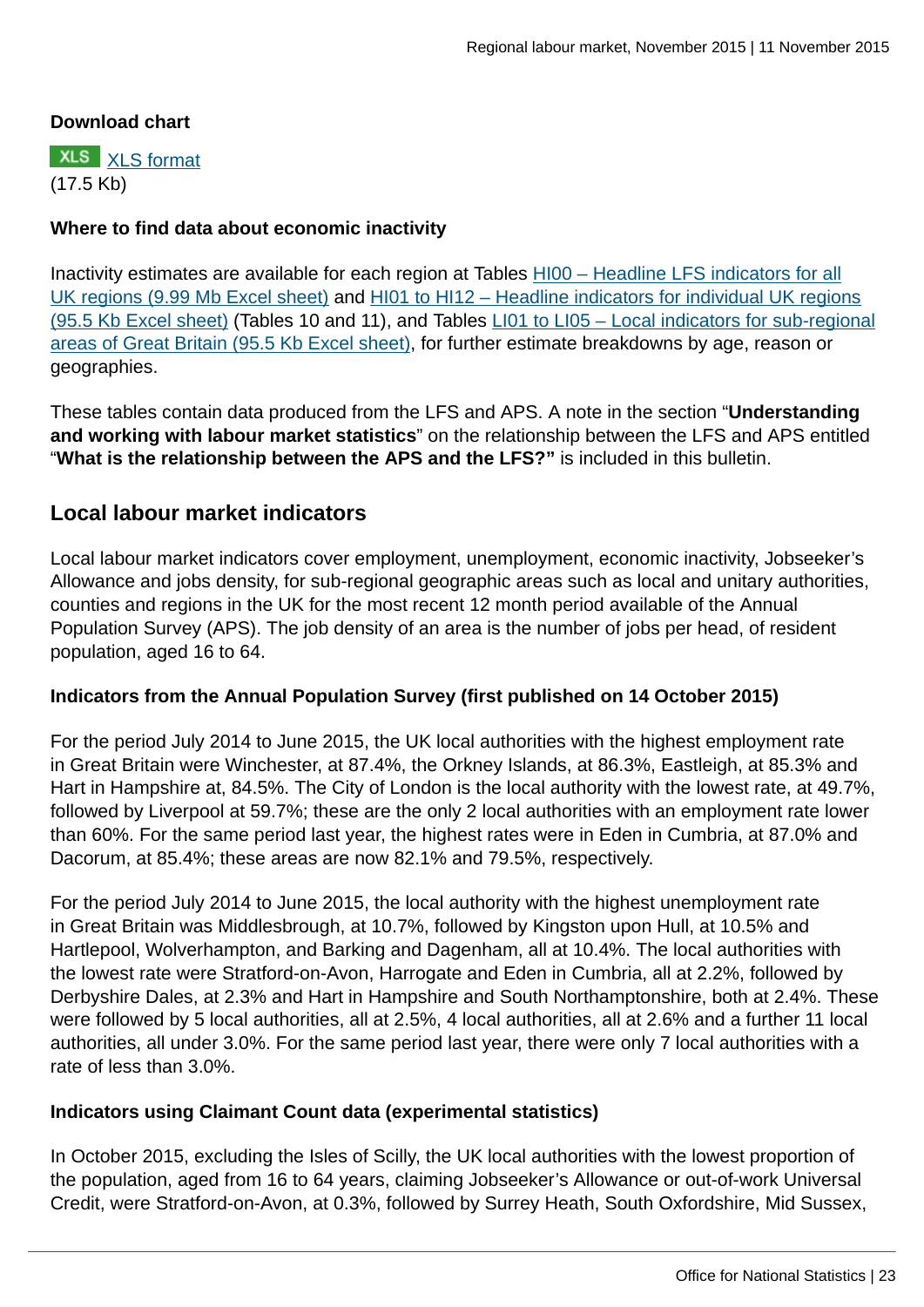#### **Download chart**

**XLS** [XLS format](http://www.ons.gov.uk:80/ons/rel/subnational-labour/regional-labour-market-statistics/november-2015/chd-7.xls) (17.5 Kb)

#### **Where to find data about economic inactivity**

Inactivity estimates are available for each region at Tables [HI00 – Headline LFS indicators for all](http://www.ons.gov.uk:80/ons/rel/subnational-labour/regional-labour-market-statistics/november-2015/rft-lm-hi00-november-2015.xls) [UK regions \(9.99 Mb Excel sheet\)](http://www.ons.gov.uk:80/ons/rel/subnational-labour/regional-labour-market-statistics/november-2015/rft-lm-hi00-november-2015.xls) and HI01 to HI12 - Headline indicators for individual UK regions [\(95.5 Kb Excel sheet\)](http://www.ons.gov.uk:80/ons/rel/subnational-labour/regional-labour-market-statistics/november-2015/rft-guide-to-tables-november-2015.xls) (Tables 10 and 11), and Tables [LI01 to LI05 – Local indicators for sub-regional](http://www.ons.gov.uk:80/ons/rel/subnational-labour/regional-labour-market-statistics/november-2015/rft-guide-to-tables-november-2015.xls) [areas of Great Britain \(95.5 Kb Excel sheet\)](http://www.ons.gov.uk:80/ons/rel/subnational-labour/regional-labour-market-statistics/november-2015/rft-guide-to-tables-november-2015.xls), for further estimate breakdowns by age, reason or geographies.

These tables contain data produced from the LFS and APS. A note in the section "**Understanding and working with labour market statistics**" on the relationship between the LFS and APS entitled "**What is the relationship between the APS and the LFS?"** is included in this bulletin.

## **Local labour market indicators**

Local labour market indicators cover employment, unemployment, economic inactivity, Jobseeker's Allowance and jobs density, for sub-regional geographic areas such as local and unitary authorities, counties and regions in the UK for the most recent 12 month period available of the Annual Population Survey (APS). The job density of an area is the number of jobs per head, of resident population, aged 16 to 64.

#### **Indicators from the Annual Population Survey (first published on 14 October 2015)**

For the period July 2014 to June 2015, the UK local authorities with the highest employment rate in Great Britain were Winchester, at 87.4%, the Orkney Islands, at 86.3%, Eastleigh, at 85.3% and Hart in Hampshire at, 84.5%. The City of London is the local authority with the lowest rate, at 49.7%, followed by Liverpool at 59.7%; these are the only 2 local authorities with an employment rate lower than 60%. For the same period last year, the highest rates were in Eden in Cumbria, at 87.0% and Dacorum, at 85.4%; these areas are now 82.1% and 79.5%, respectively.

For the period July 2014 to June 2015, the local authority with the highest unemployment rate in Great Britain was Middlesbrough, at 10.7%, followed by Kingston upon Hull, at 10.5% and Hartlepool, Wolverhampton, and Barking and Dagenham, all at 10.4%. The local authorities with the lowest rate were Stratford-on-Avon, Harrogate and Eden in Cumbria, all at 2.2%, followed by Derbyshire Dales, at 2.3% and Hart in Hampshire and South Northamptonshire, both at 2.4%. These were followed by 5 local authorities, all at 2.5%, 4 local authorities, all at 2.6% and a further 11 local authorities, all under 3.0%. For the same period last year, there were only 7 local authorities with a rate of less than 3.0%.

#### **Indicators using Claimant Count data (experimental statistics)**

In October 2015, excluding the Isles of Scilly, the UK local authorities with the lowest proportion of the population, aged from 16 to 64 years, claiming Jobseeker's Allowance or out-of-work Universal Credit, were Stratford-on-Avon, at 0.3%, followed by Surrey Heath, South Oxfordshire, Mid Sussex,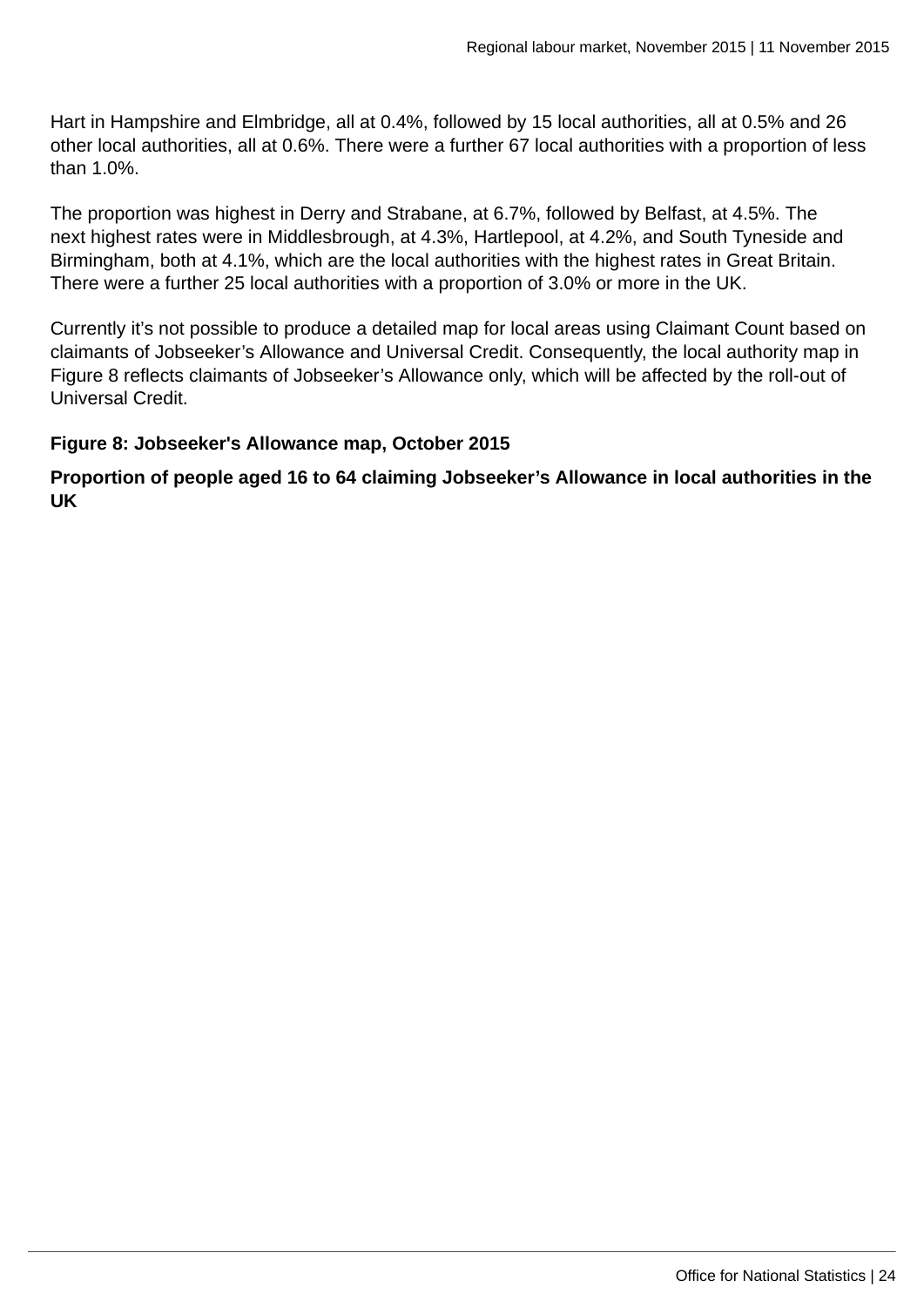Hart in Hampshire and Elmbridge, all at 0.4%, followed by 15 local authorities, all at 0.5% and 26 other local authorities, all at 0.6%. There were a further 67 local authorities with a proportion of less than 1.0%.

The proportion was highest in Derry and Strabane, at 6.7%, followed by Belfast, at 4.5%. The next highest rates were in Middlesbrough, at 4.3%, Hartlepool, at 4.2%, and South Tyneside and Birmingham, both at 4.1%, which are the local authorities with the highest rates in Great Britain. There were a further 25 local authorities with a proportion of 3.0% or more in the UK.

Currently it's not possible to produce a detailed map for local areas using Claimant Count based on claimants of Jobseeker's Allowance and Universal Credit. Consequently, the local authority map in Figure 8 reflects claimants of Jobseeker's Allowance only, which will be affected by the roll-out of Universal Credit.

#### **Figure 8: Jobseeker's Allowance map, October 2015**

**Proportion of people aged 16 to 64 claiming Jobseeker's Allowance in local authorities in the UK**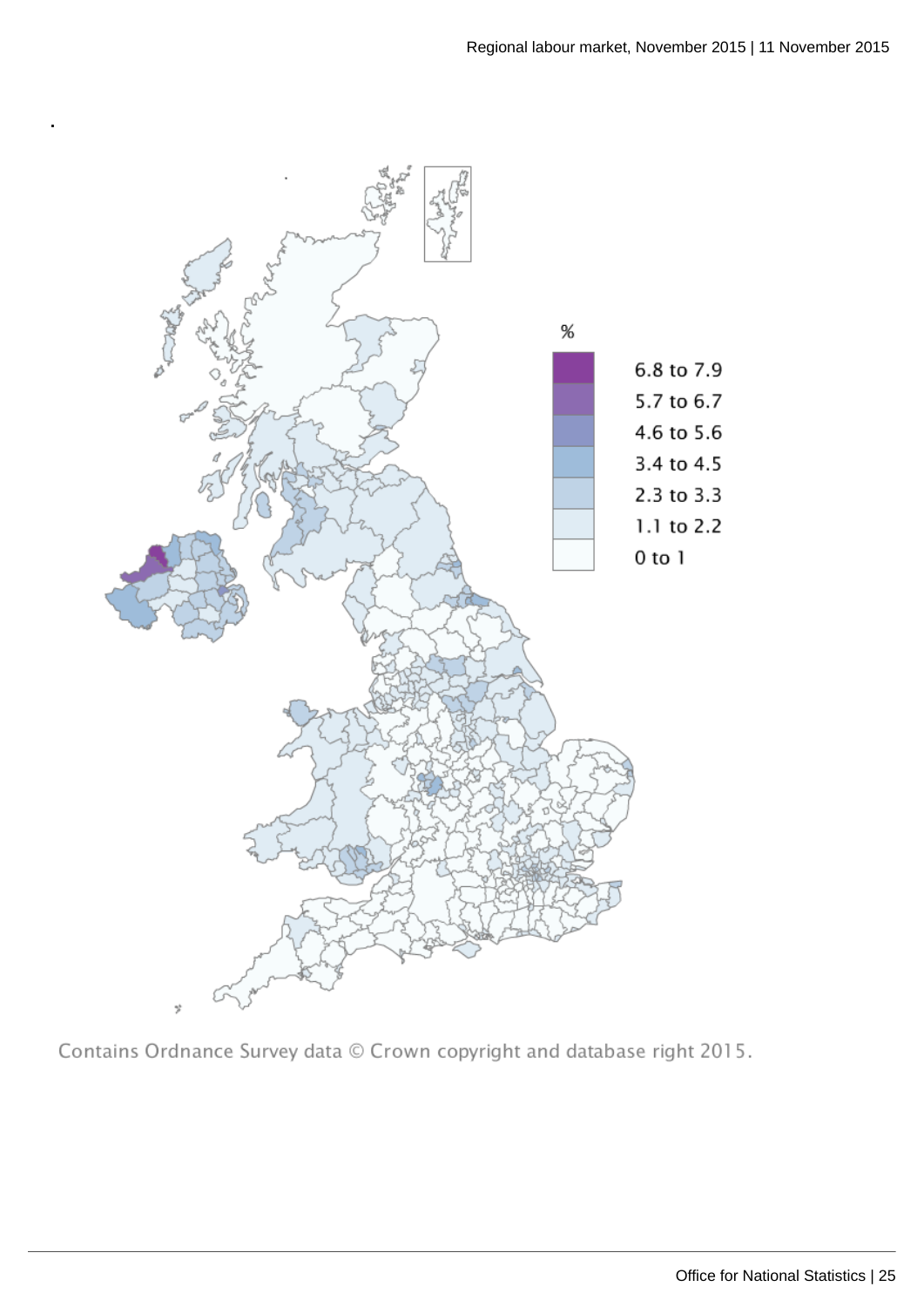

**.**

Contains Ordnance Survey data © Crown copyright and database right 2015.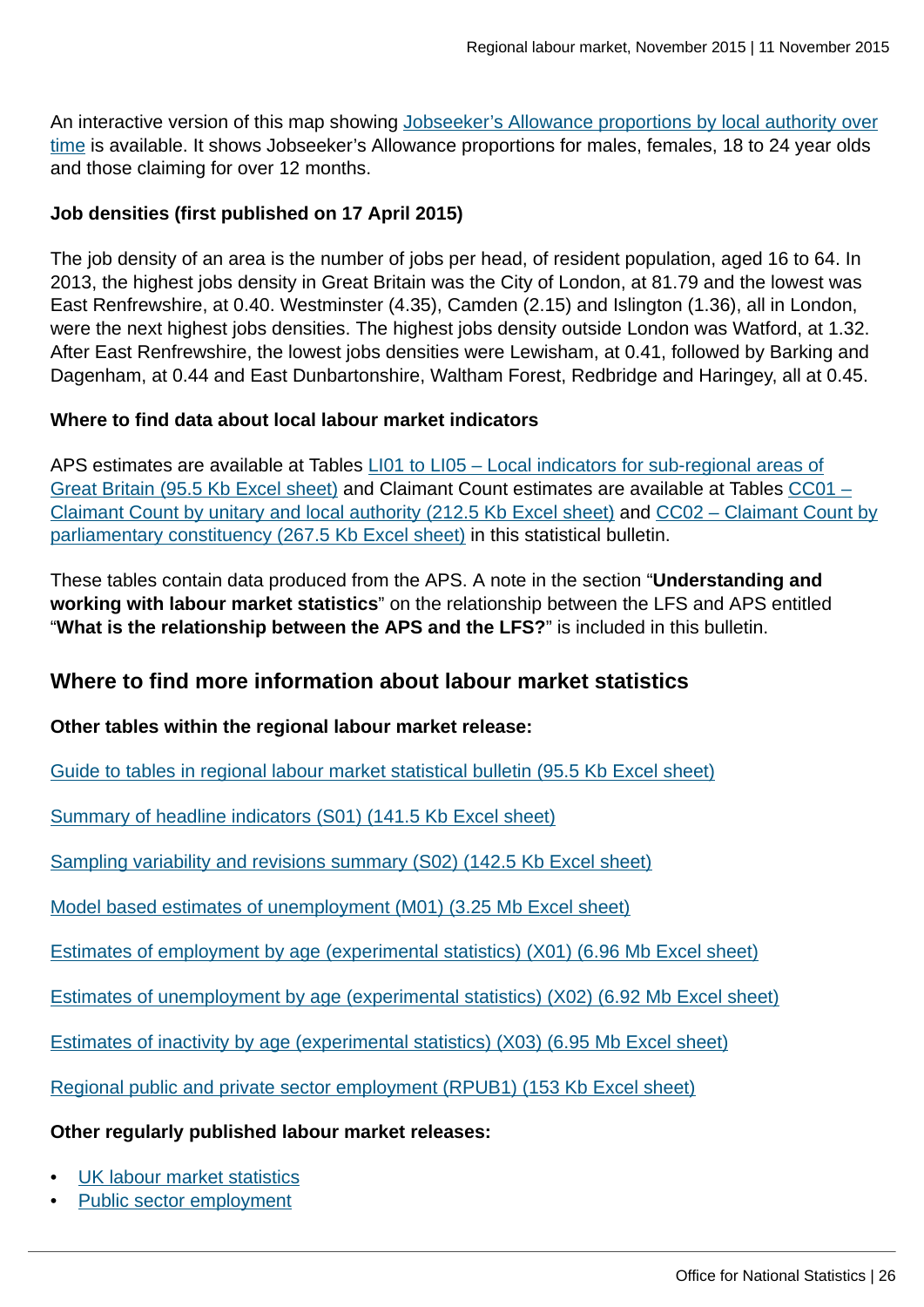An interactive version of this map showing [Jobseeker's Allowance proportions by local authority over](http://www.ons.gov.uk/ons/interactive/theme-pages/index.html) [time](http://www.ons.gov.uk/ons/interactive/theme-pages/index.html) is available. It shows Jobseeker's Allowance proportions for males, females, 18 to 24 year olds and those claiming for over 12 months.

#### **Job densities (first published on 17 April 2015)**

The job density of an area is the number of jobs per head, of resident population, aged 16 to 64. In 2013, the highest jobs density in Great Britain was the City of London, at 81.79 and the lowest was East Renfrewshire, at 0.40. Westminster (4.35), Camden (2.15) and Islington (1.36), all in London, were the next highest jobs densities. The highest jobs density outside London was Watford, at 1.32. After East Renfrewshire, the lowest jobs densities were Lewisham, at 0.41, followed by Barking and Dagenham, at 0.44 and East Dunbartonshire, Waltham Forest, Redbridge and Haringey, all at 0.45.

#### **Where to find data about local labour market indicators**

APS estimates are available at Tables [LI01 to LI05 – Local indicators for sub-regional areas of](http://www.ons.gov.uk:80/ons/rel/subnational-labour/regional-labour-market-statistics/november-2015/rft-guide-to-tables-november-2015.xls) [Great Britain \(95.5 Kb Excel sheet\)](http://www.ons.gov.uk:80/ons/rel/subnational-labour/regional-labour-market-statistics/november-2015/rft-guide-to-tables-november-2015.xls) and Claimant Count estimates are available at Tables [CC01 –](http://www.ons.gov.uk:80/ons/rel/subnational-labour/regional-labour-market-statistics/november-2015/rft-lm-table-cc01-november-2015.xls) [Claimant Count by unitary and local authority \(212.5 Kb Excel sheet\)](http://www.ons.gov.uk:80/ons/rel/subnational-labour/regional-labour-market-statistics/november-2015/rft-lm-table-cc01-november-2015.xls) and [CC02 – Claimant Count by](http://www.ons.gov.uk:80/ons/rel/subnational-labour/regional-labour-market-statistics/november-2015/rft-lm-table-cc02-november-2015.xls) [parliamentary constituency \(267.5 Kb Excel sheet\)](http://www.ons.gov.uk:80/ons/rel/subnational-labour/regional-labour-market-statistics/november-2015/rft-lm-table-cc02-november-2015.xls) in this statistical bulletin.

These tables contain data produced from the APS. A note in the section "**Understanding and working with labour market statistics**" on the relationship between the LFS and APS entitled "**What is the relationship between the APS and the LFS?**" is included in this bulletin.

# **Where to find more information about labour market statistics**

## **Other tables within the regional labour market release:**

[Guide to tables in regional labour market statistical bulletin \(95.5 Kb Excel sheet\)](http://www.ons.gov.uk:80/ons/rel/subnational-labour/regional-labour-market-statistics/november-2015/rft-guide-to-tables-november-2015.xls)

[Summary of headline indicators \(S01\) \(141.5 Kb Excel sheet\)](http://www.ons.gov.uk:80/ons/rel/subnational-labour/regional-labour-market-statistics/november-2015/rft-lm-regional-summary-november-2015.xls)

[Sampling variability and revisions summary \(S02\) \(142.5 Kb Excel sheet\)](http://www.ons.gov.uk:80/ons/rel/subnational-labour/regional-labour-market-statistics/november-2015/rft-sampling-november-2015.xls)

[Model based estimates of unemployment \(M01\) \(3.25 Mb Excel sheet\)](http://www.ons.gov.uk:80/ons/rel/subnational-labour/regional-labour-market-statistics/november-2015/rft-model-based-m01-november-2015.xls)

[Estimates of employment by age \(experimental statistics\) \(X01\) \(6.96 Mb Excel sheet\)](http://www.ons.gov.uk:80/ons/rel/subnational-labour/regional-labour-market-statistics/november-2015/rft-lfs-reg-x01-november-2015.xls)

[Estimates of unemployment by age \(experimental statistics\) \(X02\) \(6.92 Mb Excel sheet\)](http://www.ons.gov.uk:80/ons/rel/subnational-labour/regional-labour-market-statistics/november-2015/rft-lfs-reg-x02-november-2015.xls)

[Estimates of inactivity by age \(experimental statistics\) \(X03\) \(6.95 Mb Excel sheet\)](http://www.ons.gov.uk:80/ons/rel/subnational-labour/regional-labour-market-statistics/november-2015/rft-lfs-reg-x03-november-2015.xls)

[Regional public and private sector employment \(RPUB1\) \(153 Kb Excel sheet\)](http://www.ons.gov.uk:80/ons/rel/subnational-labour/regional-labour-market-statistics/november-2015/rft-lm-table-rpub1-november-2015.xls)

# **Other regularly published labour market releases:**

- [UK labour market statistics](http://www.ons.gov.uk:80/ons/rel/lms/labour-market-statistics/index.html)
- [Public sector employment](http://www.ons.gov.uk:80/ons/rel/pse/public-sector-employment/index.html)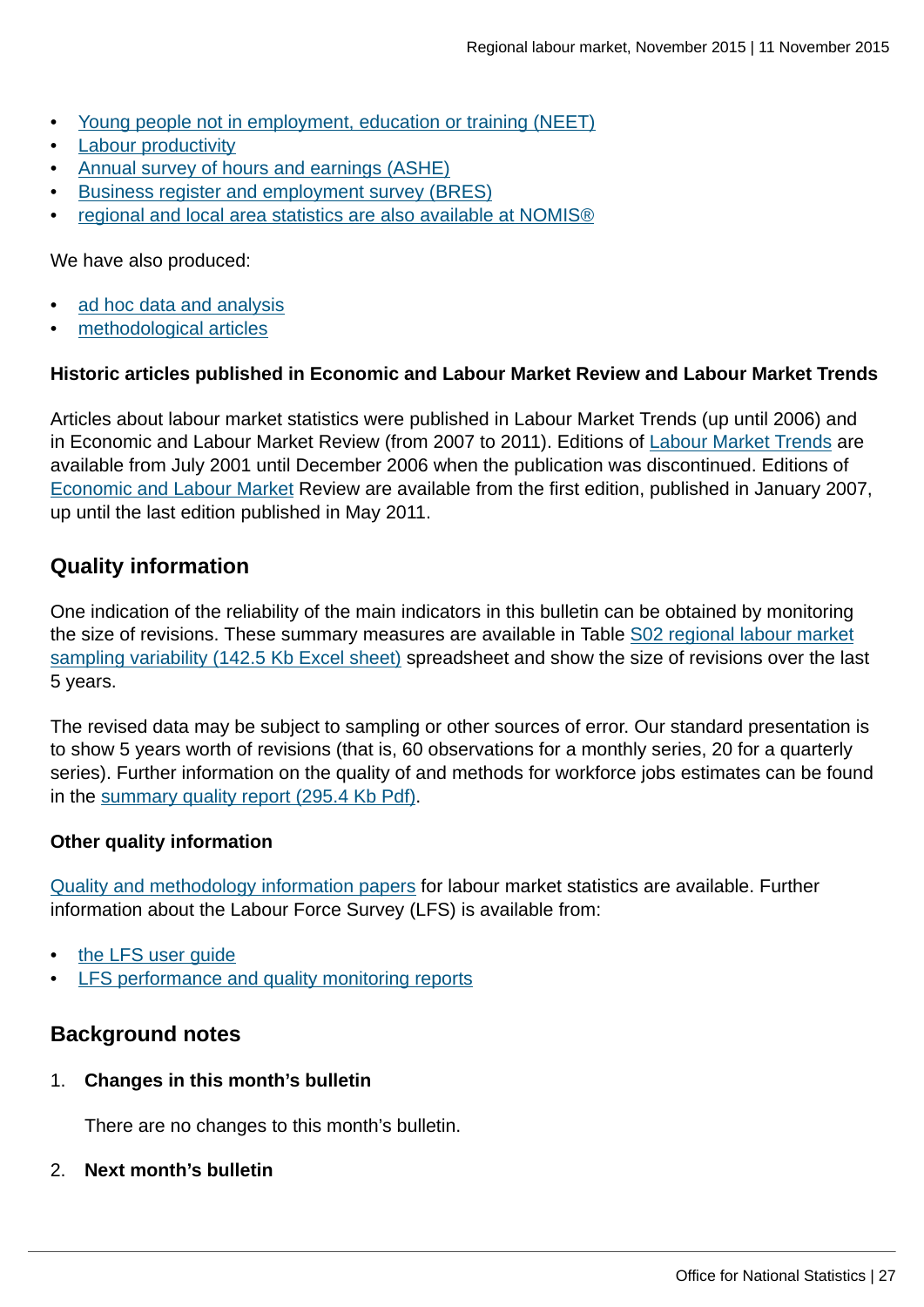- [Young people not in employment, education or training \(NEET\)](http://www.ons.gov.uk:80/ons/rel/lms/young-people-not-in-education--employment-or-training--neets-/index.html)
- [Labour productivity](http://www.ons.gov.uk:80/ons/rel/productivity/labour-productivity/index.html)
- [Annual survey of hours and earnings \(ASHE\)](http://www.ons.gov.uk:80/ons/rel/ashe/annual-survey-of-hours-and-earnings/index.html)
- [Business register and employment survey \(BRES\)](http://www.ons.gov.uk:80/ons/rel/bus-register/business-register-employment-survey/index.html)
- [regional and local area statistics are also available at NOMIS®](http://www.ons.gov.uk:80/ons/external-links/nomis.html)

We have also produced:

- [ad hoc data and analysis](http://www.ons.gov.uk:80/ons/about-ons/business-transparency/freedom-of-information/what-can-i-request/published-ad-hoc-data/labour/index.html)
- [methodological articles](http://www.ons.gov.uk:80/ons/guide-method/method-quality/specific/labour-market/articles-and-reports/index.html)

#### **Historic articles published in Economic and Labour Market Review and Labour Market Trends**

Articles about labour market statistics were published in Labour Market Trends (up until 2006) and in Economic and Labour Market Review (from 2007 to 2011). Editions of [Labour Market Trends](http://www.ons.gov.uk:80/ons/rel/lms/labour-market-trends--discontinued-/index.html) are available from July 2001 until December 2006 when the publication was discontinued. Editions of [Economic and Labour Market](http://www.ons.gov.uk:80/ons/rel/elmr/economic-and-labour-market-review/index.html) Review are available from the first edition, published in January 2007, up until the last edition published in May 2011.

# **Quality information**

One indication of the reliability of the main indicators in this bulletin can be obtained by monitoring the size of revisions. These summary measures are available in Table [S02 regional labour market](http://www.ons.gov.uk:80/ons/rel/subnational-labour/regional-labour-market-statistics/november-2015/rft-sampling-november-2015.xls) [sampling variability \(142.5 Kb Excel sheet\)](http://www.ons.gov.uk:80/ons/rel/subnational-labour/regional-labour-market-statistics/november-2015/rft-sampling-november-2015.xls) spreadsheet and show the size of revisions over the last 5 years.

The revised data may be subject to sampling or other sources of error. Our standard presentation is to show 5 years worth of revisions (that is, 60 observations for a monthly series, 20 for a quarterly series). Further information on the quality of and methods for workforce jobs estimates can be found in the [summary quality report \(295.4 Kb Pdf\).](http://www.ons.gov.uk:80/ons/guide-method/method-quality/quality/quality-information/labour-market/summary-quality-report-for-workforce-jobs.pdf)

#### **Other quality information**

[Quality and methodology information papers](http://www.ons.gov.uk/ons/guide-method/method-quality/quality/quality-information/social-statistics/quality-and-methodology-information-for-the-labour-force-survey--lfs-.pdf) for labour market statistics are available. Further information about the Labour Force Survey (LFS) is available from:

- the LFS user quide
- [LFS performance and quality monitoring reports](http://www.ons.gov.uk:80/ons/guide-method/method-quality/specific/labour-market/labour-force-survey-quality-measures/index.html)

# **Background notes**

1. **Changes in this month's bulletin**

There are no changes to this month's bulletin.

2. **Next month's bulletin**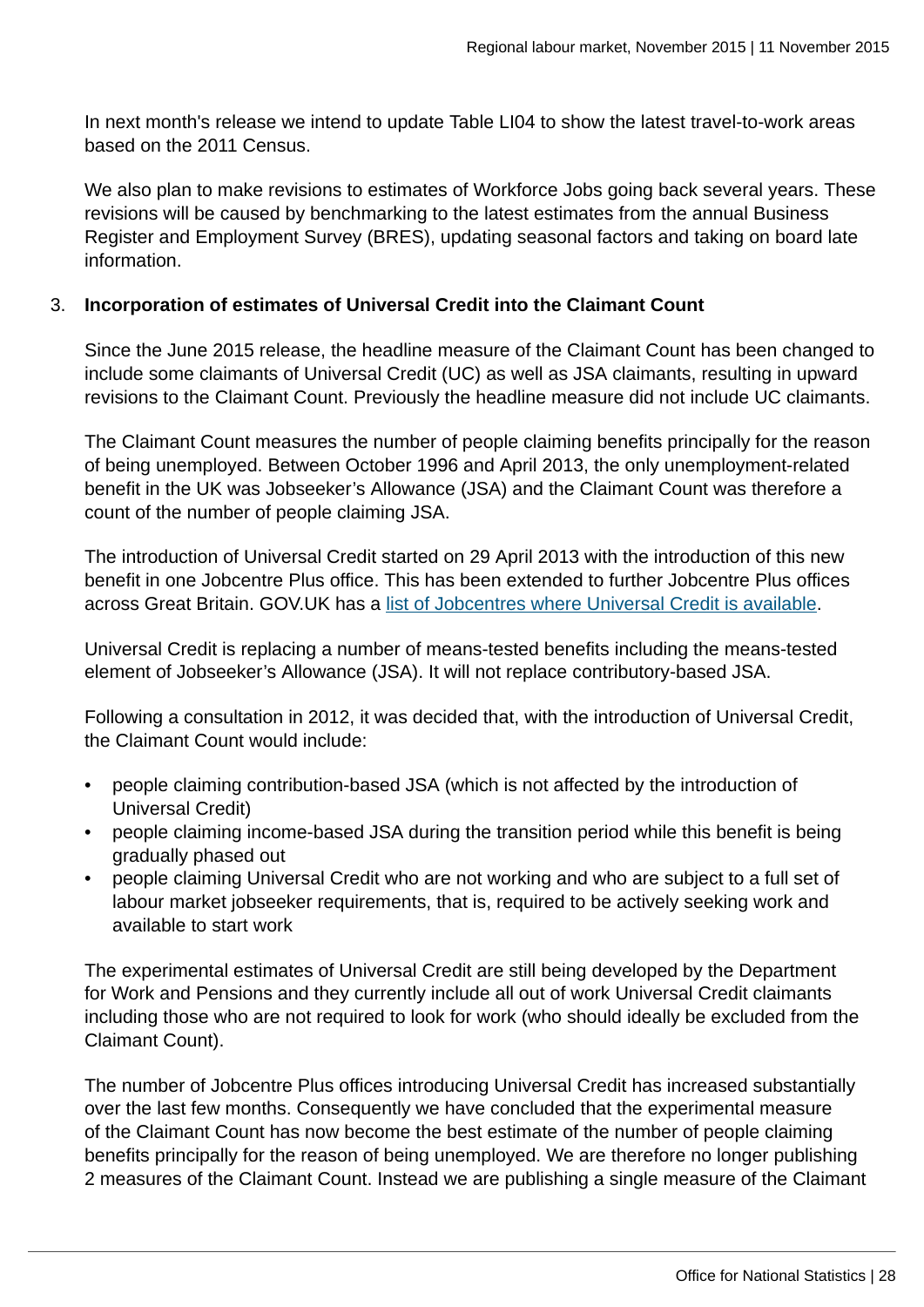In next month's release we intend to update Table LI04 to show the latest travel-to-work areas based on the 2011 Census.

We also plan to make revisions to estimates of Workforce Jobs going back several years. These revisions will be caused by benchmarking to the latest estimates from the annual Business Register and Employment Survey (BRES), updating seasonal factors and taking on board late information.

#### 3. **Incorporation of estimates of Universal Credit into the Claimant Count**

Since the June 2015 release, the headline measure of the Claimant Count has been changed to include some claimants of Universal Credit (UC) as well as JSA claimants, resulting in upward revisions to the Claimant Count. Previously the headline measure did not include UC claimants.

The Claimant Count measures the number of people claiming benefits principally for the reason of being unemployed. Between October 1996 and April 2013, the only unemployment-related benefit in the UK was Jobseeker's Allowance (JSA) and the Claimant Count was therefore a count of the number of people claiming JSA.

The introduction of Universal Credit started on 29 April 2013 with the introduction of this new benefit in one Jobcentre Plus office. This has been extended to further Jobcentre Plus offices across Great Britain. GOV.UK has a [list of Jobcentres where Universal Credit is available.](https://www.gov.uk/jobcentres-where-you-can-claim-universal-credit)

Universal Credit is replacing a number of means-tested benefits including the means-tested element of Jobseeker's Allowance (JSA). It will not replace contributory-based JSA.

Following a consultation in 2012, it was decided that, with the introduction of Universal Credit, the Claimant Count would include:

- people claiming contribution-based JSA (which is not affected by the introduction of Universal Credit)
- people claiming income-based JSA during the transition period while this benefit is being gradually phased out
- people claiming Universal Credit who are not working and who are subject to a full set of labour market jobseeker requirements, that is, required to be actively seeking work and available to start work

The experimental estimates of Universal Credit are still being developed by the Department for Work and Pensions and they currently include all out of work Universal Credit claimants including those who are not required to look for work (who should ideally be excluded from the Claimant Count).

The number of Jobcentre Plus offices introducing Universal Credit has increased substantially over the last few months. Consequently we have concluded that the experimental measure of the Claimant Count has now become the best estimate of the number of people claiming benefits principally for the reason of being unemployed. We are therefore no longer publishing 2 measures of the Claimant Count. Instead we are publishing a single measure of the Claimant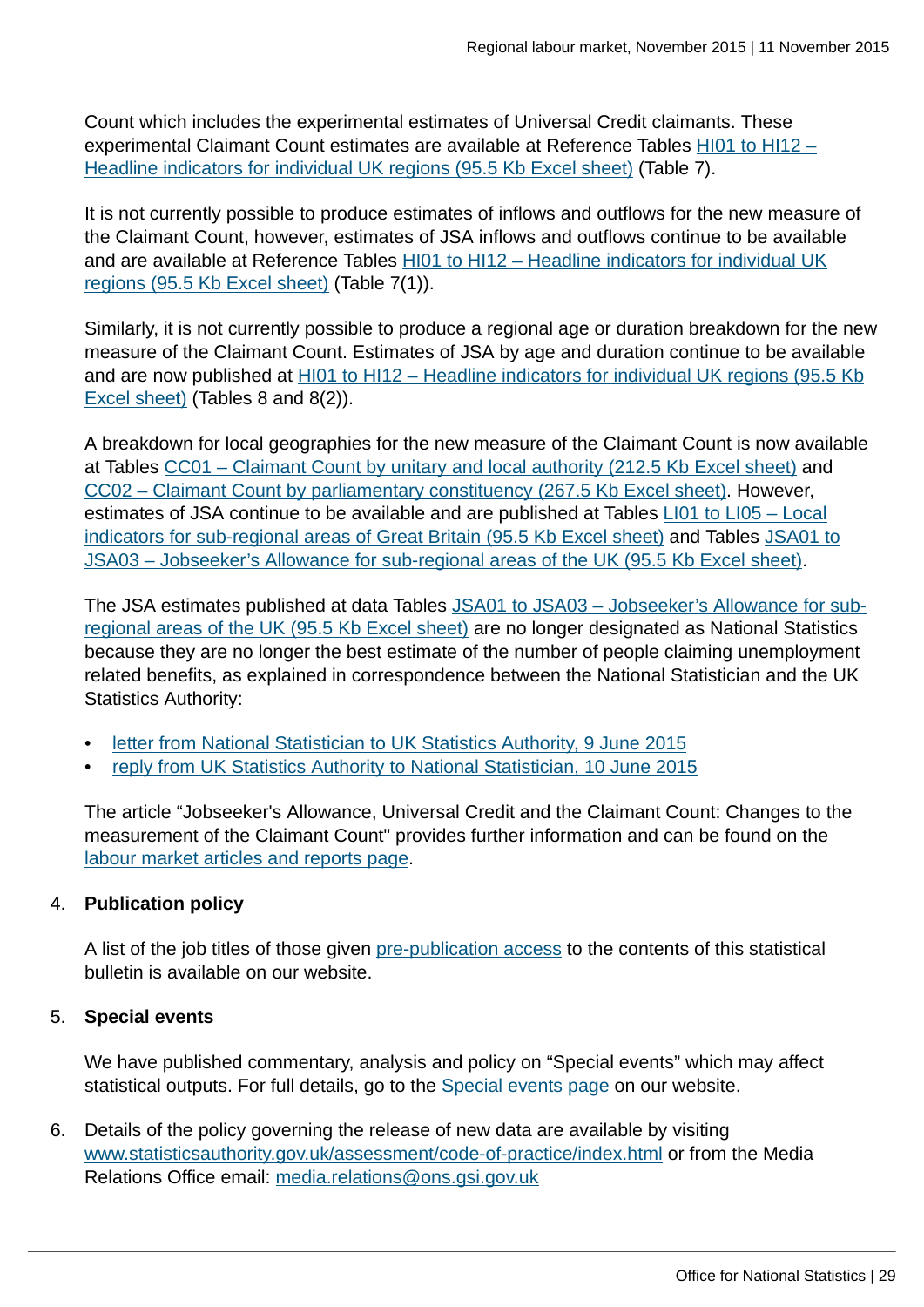Count which includes the experimental estimates of Universal Credit claimants. These experimental Claimant Count estimates are available at Reference Tables [HI01 to HI12 –](http://www.ons.gov.uk:80/ons/rel/subnational-labour/regional-labour-market-statistics/november-2015/rft-guide-to-tables-november-2015.xls) [Headline indicators for individual UK regions \(95.5 Kb Excel sheet\)](http://www.ons.gov.uk:80/ons/rel/subnational-labour/regional-labour-market-statistics/november-2015/rft-guide-to-tables-november-2015.xls) (Table 7).

It is not currently possible to produce estimates of inflows and outflows for the new measure of the Claimant Count, however, estimates of JSA inflows and outflows continue to be available and are available at Reference Tables [HI01 to HI12 – Headline indicators for individual UK](http://www.ons.gov.uk:80/ons/rel/subnational-labour/regional-labour-market-statistics/november-2015/rft-guide-to-tables-november-2015.xls) [regions \(95.5 Kb Excel sheet\)](http://www.ons.gov.uk:80/ons/rel/subnational-labour/regional-labour-market-statistics/november-2015/rft-guide-to-tables-november-2015.xls) (Table 7(1)).

Similarly, it is not currently possible to produce a regional age or duration breakdown for the new measure of the Claimant Count. Estimates of JSA by age and duration continue to be available and are now published at [HI01 to HI12 – Headline indicators for individual UK regions \(95.5 Kb](http://www.ons.gov.uk:80/ons/rel/subnational-labour/regional-labour-market-statistics/november-2015/rft-guide-to-tables-november-2015.xls)) [Excel sheet\)](http://www.ons.gov.uk:80/ons/rel/subnational-labour/regional-labour-market-statistics/november-2015/rft-guide-to-tables-november-2015.xls) (Tables 8 and 8(2)).

A breakdown for local geographies for the new measure of the Claimant Count is now available at Tables [CC01 – Claimant Count by unitary and local authority \(212.5 Kb Excel sheet\)](http://www.ons.gov.uk:80/ons/rel/subnational-labour/regional-labour-market-statistics/november-2015/rft-lm-table-cc01-november-2015.xls) and [CC02 – Claimant Count by parliamentary constituency \(267.5 Kb Excel sheet\).](http://www.ons.gov.uk:80/ons/rel/subnational-labour/regional-labour-market-statistics/november-2015/rft-lm-table-cc02-november-2015.xls) However, estimates of JSA continue to be available and are published at Tables [LI01 to LI05 – Local](http://www.ons.gov.uk:80/ons/rel/subnational-labour/regional-labour-market-statistics/november-2015/rft-guide-to-tables-november-2015.xls) [indicators for sub-regional areas of Great Britain \(95.5 Kb Excel sheet\)](http://www.ons.gov.uk:80/ons/rel/subnational-labour/regional-labour-market-statistics/november-2015/rft-guide-to-tables-november-2015.xls) and Tables [JSA01 to](http://www.ons.gov.uk:80/ons/rel/subnational-labour/regional-labour-market-statistics/november-2015/rft-guide-to-tables-november-2015.xls) [JSA03 – Jobseeker's Allowance for sub-regional areas of the UK \(95.5 Kb Excel sheet\).](http://www.ons.gov.uk:80/ons/rel/subnational-labour/regional-labour-market-statistics/november-2015/rft-guide-to-tables-november-2015.xls)

The JSA estimates published at data Tables [JSA01 to JSA03 – Jobseeker's Allowance for sub](http://www.ons.gov.uk:80/ons/rel/subnational-labour/regional-labour-market-statistics/november-2015/rft-guide-to-tables-november-2015.xls)[regional areas of the UK \(95.5 Kb Excel sheet\)](http://www.ons.gov.uk:80/ons/rel/subnational-labour/regional-labour-market-statistics/november-2015/rft-guide-to-tables-november-2015.xls) are no longer designated as National Statistics because they are no longer the best estimate of the number of people claiming unemployment related benefits, as explained in correspondence between the National Statistician and the UK Statistics Authority:

- [letter from National Statistician to UK Statistics Authority, 9 June 2015](http://www.statisticsauthority.gov.uk/reports---correspondence/correspondence/letter-from-john-pullinger-to-ed-humpherson-090615.pdf)
- [reply from UK Statistics Authority to National Statistician, 10 June 2015](http://www.statisticsauthority.gov.uk/reports---correspondence/correspondence/letter-from-ed-humpherson-to-john-pullinger-100615.pdf)

The article "Jobseeker's Allowance, Universal Credit and the Claimant Count: Changes to the measurement of the Claimant Count" provides further information and can be found on the [labour market articles and reports page](http://www.ons.gov.uk/ons/guide-method/method-quality/specific/labour-market/articles-and-reports/index.html).

#### 4. **Publication policy**

A list of the job titles of those given [pre-publication access](http://www.ons.gov.uk:80/ons/rel/subnational-labour/regional-labour-market-statistics/november-2015/pra.html) to the contents of this statistical bulletin is available on our website.

#### 5. **Special events**

We have published commentary, analysis and policy on "Special events" which may affect statistical outputs. For full details, go to the [Special events page](http://www.ons.gov.uk/ons/guide-method/method-quality/general-methodology/special-events-group/special-events-calendar/index.html) on our website.

6. Details of the policy governing the release of new data are available by visiting [www.statisticsauthority.gov.uk/assessment/code-of-practice/index.html](http://www.statisticsauthority.gov.uk/assessment/code-of-practice/index.html) or from the Media Relations Office email: [media.relations@ons.gsi.gov.uk](mailto:media.relations@ons.gsi.gov.uk)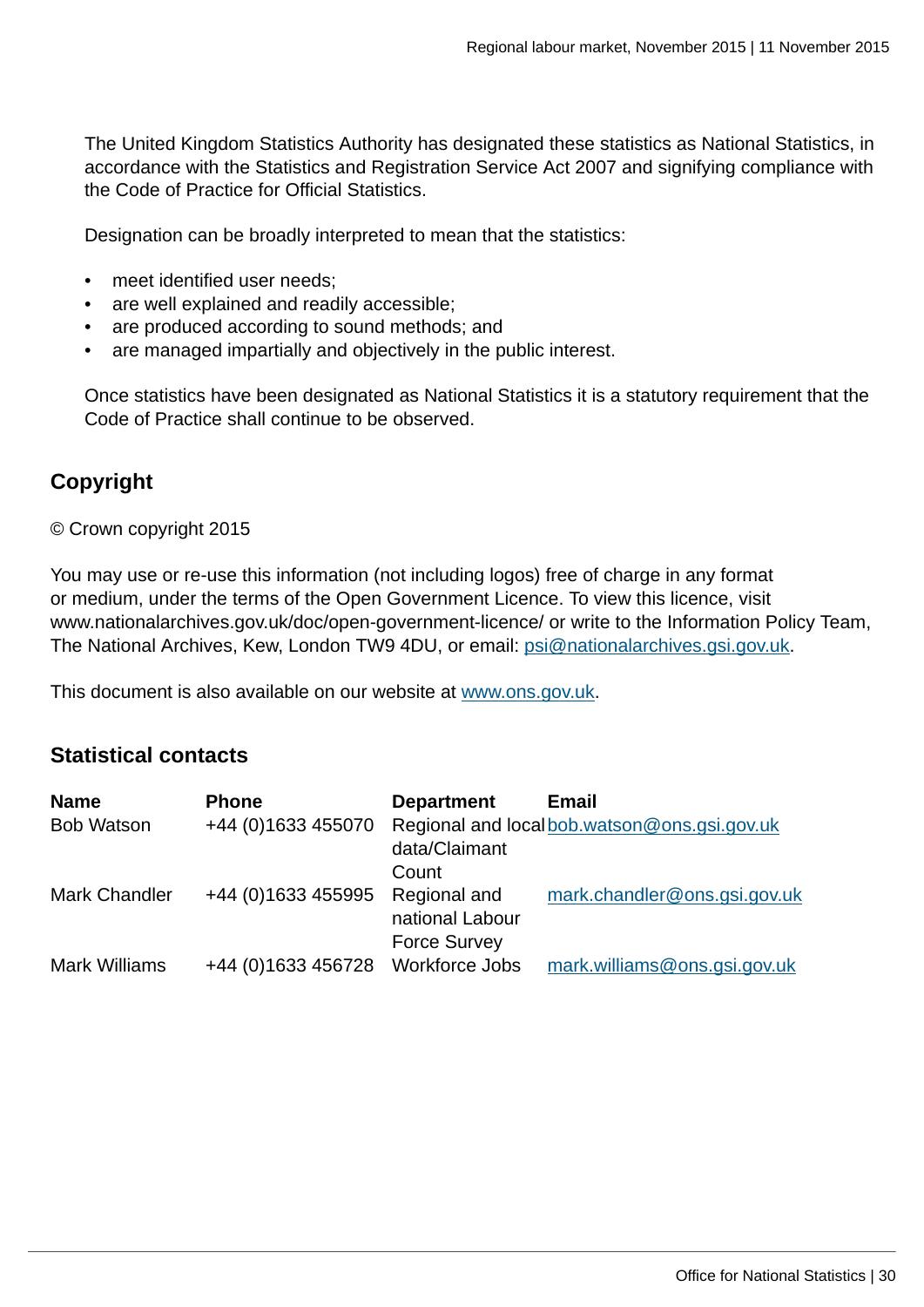The United Kingdom Statistics Authority has designated these statistics as National Statistics, in accordance with the Statistics and Registration Service Act 2007 and signifying compliance with the Code of Practice for Official Statistics.

Designation can be broadly interpreted to mean that the statistics:

- meet identified user needs;
- are well explained and readily accessible;
- are produced according to sound methods; and
- are managed impartially and objectively in the public interest.

Once statistics have been designated as National Statistics it is a statutory requirement that the Code of Practice shall continue to be observed.

# **Copyright**

© Crown copyright 2015

You may use or re-use this information (not including logos) free of charge in any format or medium, under the terms of the Open Government Licence. To view this licence, visit www.nationalarchives.gov.uk/doc/open-government-licence/ or write to the Information Policy Team, The National Archives, Kew, London TW9 4DU, or email: [psi@nationalarchives.gsi.gov.uk](mailto:psi@nationalarchives.gsi.gov.uk).

This document is also available on our website at [www.ons.gov.uk.](http://www.ons.gov.uk/)

# **Statistical contacts**

| <b>Name</b>          | <b>Phone</b>                      | <b>Department</b>               | <b>Email</b>                                 |
|----------------------|-----------------------------------|---------------------------------|----------------------------------------------|
| <b>Bob Watson</b>    | +44 (0)1633 455070                | data/Claimant                   | Regional and local bob.watson@ons.gsi.gov.uk |
|                      |                                   | Count                           |                                              |
| <b>Mark Chandler</b> | +44 (0)1633 455995                | Regional and<br>national Labour | mark.chandler@ons.gsi.gov.uk                 |
| <b>Mark Williams</b> | +44 (0)1633 456728 Workforce Jobs | <b>Force Survey</b>             | mark.williams@ons.gsi.gov.uk                 |
|                      |                                   |                                 |                                              |